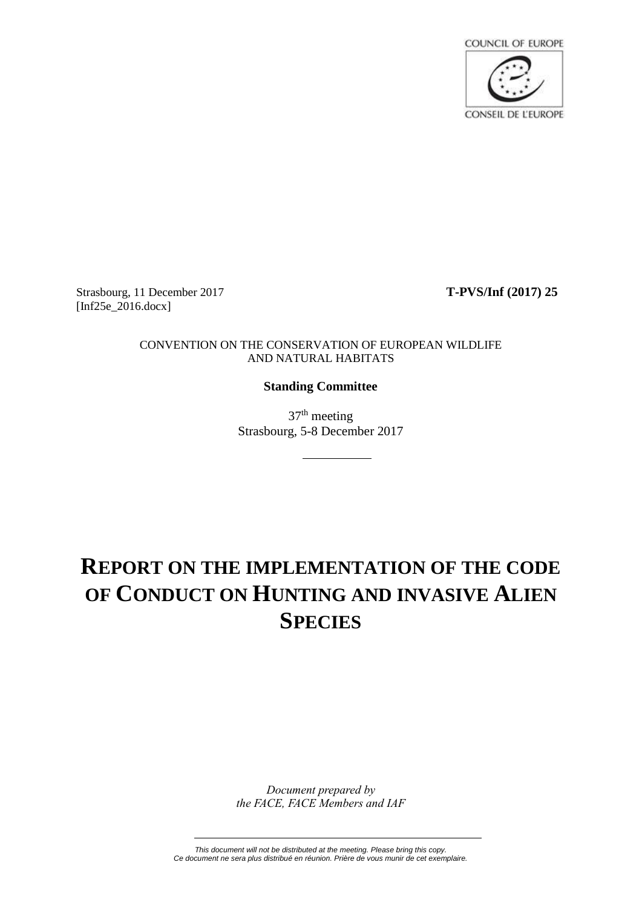

Strasbourg, 11 December 2017 **T-PVS/Inf (2017) 25** [Inf25e\_2016.docx]

#### CONVENTION ON THE CONSERVATION OF EUROPEAN WILDLIFE AND NATURAL HABITATS

#### **Standing Committee**

37th meeting Strasbourg, 5-8 December 2017

# **REPORT ON THE IMPLEMENTATION OF THE CODE OF CONDUCT ON HUNTING AND INVASIVE ALIEN SPECIES**

*Document prepared by the FACE, FACE Members and IAF*

*This document will not be distributed at the meeting. Please bring this copy. Ce document ne sera plus distribué en réunion. Prière de vous munir de cet exemplaire.*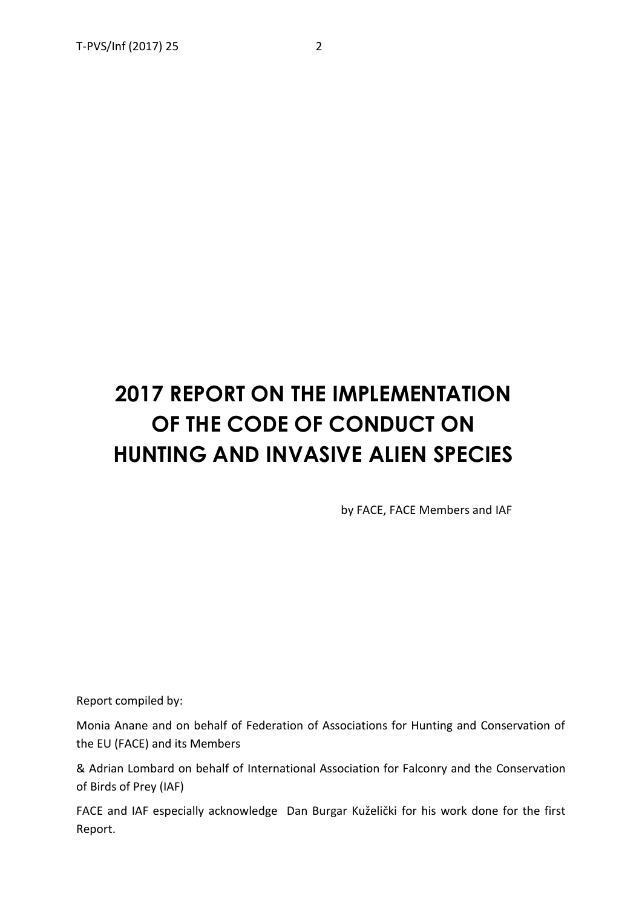# **2017 REPORT ON THE IMPLEMENTATION OF THE CODE OF CONDUCT ON HUNTING AND INVASIVE ALIEN SPECIES**

by FACE, FACE Members and IAF

Report compiled by:

Monia Anane and on behalf of Federation of Associations for Hunting and Conservation of the EU (FACE) and its Members

& Adrian Lombard on behalf of International Association for Falconry and the Conservation of Birds of Prey (IAF)

FACE and IAF especially acknowledge Dan Burgar Kuželički for his work done for the first Report.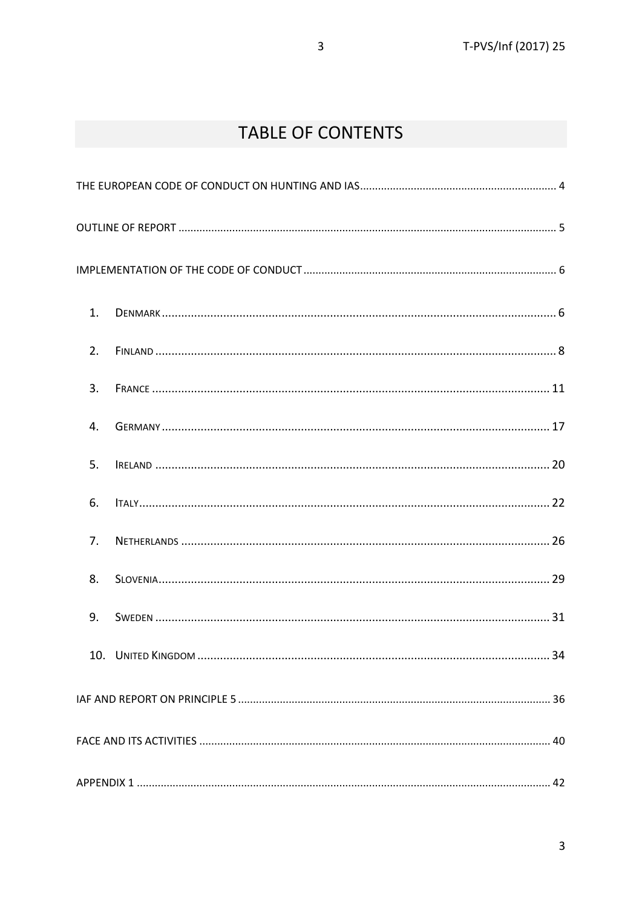# **TABLE OF CONTENTS**

| 1. |  |  |
|----|--|--|
| 2. |  |  |
| 3. |  |  |
| 4. |  |  |
| 5. |  |  |
| 6. |  |  |
| 7. |  |  |
| 8. |  |  |
| 9. |  |  |
|    |  |  |
|    |  |  |
|    |  |  |
|    |  |  |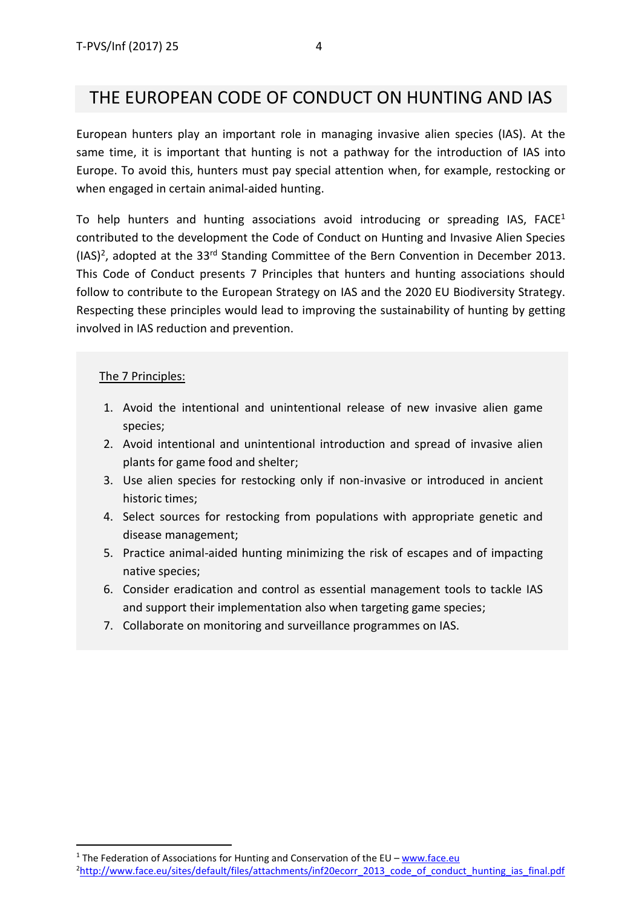## <span id="page-3-0"></span>THE EUROPEAN CODE OF CONDUCT ON HUNTING AND IAS

European hunters play an important role in managing invasive alien species (IAS). At the same time, it is important that hunting is not a pathway for the introduction of IAS into Europe. To avoid this, hunters must pay special attention when, for example, restocking or when engaged in certain animal-aided hunting.

To help hunters and hunting associations avoid introducing or spreading IAS,  $FACE<sup>1</sup>$ contributed to the development the Code of Conduct on Hunting and Invasive Alien Species  $(IAS)^2$ , adopted at the 33<sup>rd</sup> Standing Committee of the Bern Convention in December 2013. This Code of Conduct presents 7 Principles that hunters and hunting associations should follow to contribute to the European Strategy on IAS and the 2020 EU Biodiversity Strategy. Respecting these principles would lead to improving the sustainability of hunting by getting involved in IAS reduction and prevention.

#### The 7 Principles:

**.** 

- 1. Avoid the intentional and unintentional release of new invasive alien game species;
- 2. Avoid intentional and unintentional introduction and spread of invasive alien plants for game food and shelter;
- 3. Use alien species for restocking only if non-invasive or introduced in ancient historic times;
- 4. Select sources for restocking from populations with appropriate genetic and disease management;
- 5. Practice animal-aided hunting minimizing the risk of escapes and of impacting native species;
- 6. Consider eradication and control as essential management tools to tackle IAS and support their implementation also when targeting game species;
- 7. Collaborate on monitoring and surveillance programmes on IAS.

<sup>&</sup>lt;sup>1</sup> The Federation of Associations for Hunting and Conservation of the EU – [www.face.eu](http://www.face.eu/)

<sup>&</sup>lt;sup>2</sup>[http://www.face.eu/sites/default/files/attachments/inf20ecorr\\_2013\\_code\\_of\\_conduct\\_hunting\\_ias\\_final.pdf](http://www.face.eu/sites/default/files/attachments/inf20ecorr_2013_code_of_conduct_hunting_ias_final.pdf)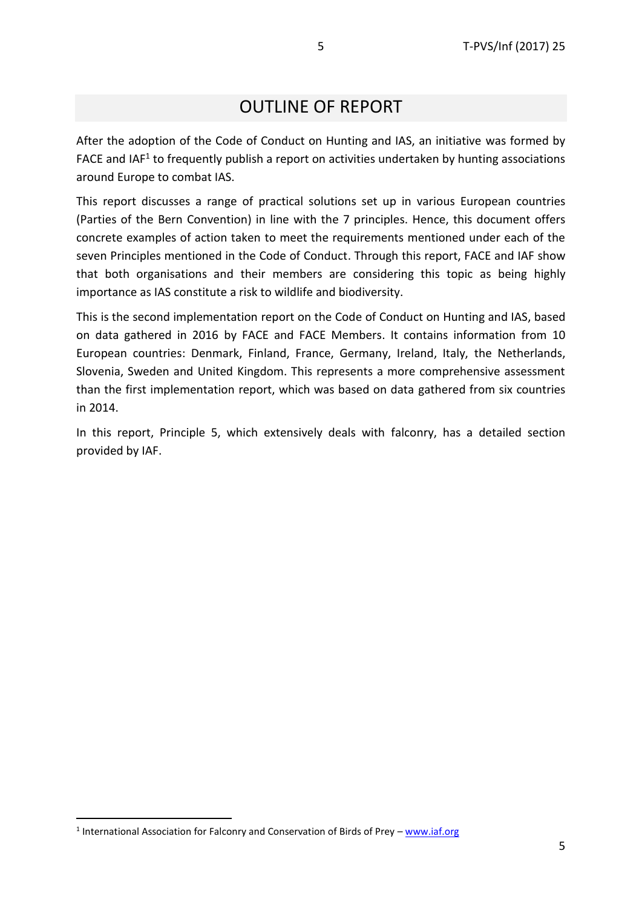# OUTLINE OF REPORT

<span id="page-4-0"></span>After the adoption of the Code of Conduct on Hunting and IAS, an initiative was formed by FACE and IAF<sup>1</sup> to frequently publish a report on activities undertaken by hunting associations around Europe to combat IAS.

This report discusses a range of practical solutions set up in various European countries (Parties of the Bern Convention) in line with the 7 principles. Hence, this document offers concrete examples of action taken to meet the requirements mentioned under each of the seven Principles mentioned in the Code of Conduct. Through this report, FACE and IAF show that both organisations and their members are considering this topic as being highly importance as IAS constitute a risk to wildlife and biodiversity.

This is the second implementation report on the Code of Conduct on Hunting and IAS, based on data gathered in 2016 by FACE and FACE Members. It contains information from 10 European countries: Denmark, Finland, France, Germany, Ireland, Italy, the Netherlands, Slovenia, Sweden and United Kingdom. This represents a more comprehensive assessment than the first implementation report, which was based on data gathered from six countries in 2014.

In this report, Principle 5, which extensively deals with falconry, has a detailed section provided by IAF.

**.** 

<sup>&</sup>lt;sup>1</sup> International Association for Falconry and Conservation of Birds of Prey - [www.iaf.org](http://www.iaf.org/)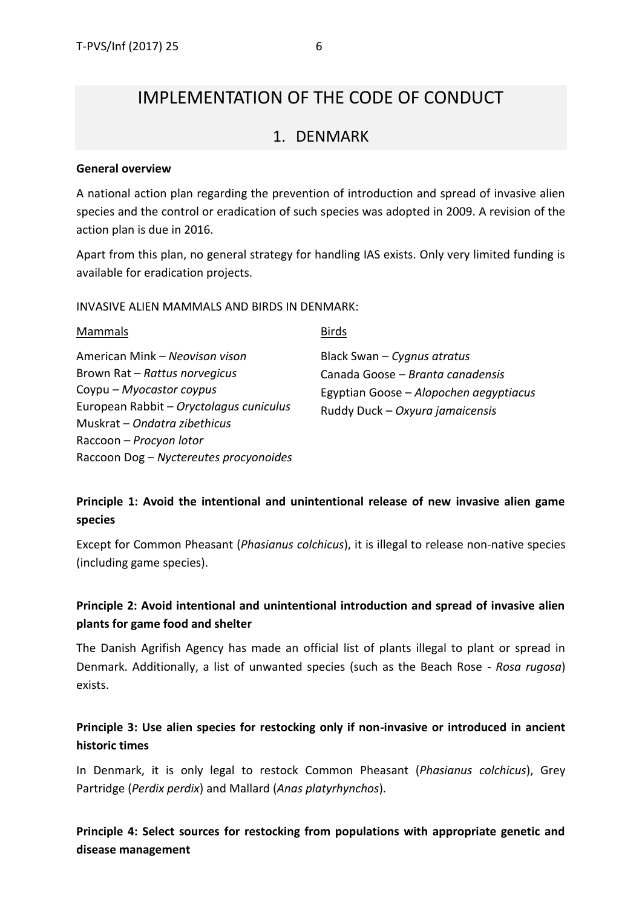## <span id="page-5-0"></span>IMPLEMENTATION OF THE CODE OF CONDUCT

### 1. DENMARK

#### <span id="page-5-1"></span>**General overview**

A national action plan regarding the prevention of introduction and spread of invasive alien species and the control or eradication of such species was adopted in 2009. A revision of the action plan is due in 2016.

Apart from this plan, no general strategy for handling IAS exists. Only very limited funding is available for eradication projects.

INVASIVE ALIEN MAMMALS AND BIRDS IN DENMARK:

| Mammals                                                                                                                                                                                                                                     | <b>Birds</b>                                                                                                                                   |
|---------------------------------------------------------------------------------------------------------------------------------------------------------------------------------------------------------------------------------------------|------------------------------------------------------------------------------------------------------------------------------------------------|
| American Mink – Neovison vison<br>Brown Rat - Rattus norvegicus<br>Coypu - Myocastor coypus<br>European Rabbit - Oryctolagus cuniculus<br>Muskrat - Ondatra zibethicus<br>Raccoon - Procyon lotor<br>Raccoon Dog - Nyctereutes procyonoides | Black Swan $-$ Cygnus atratus<br>Canada Goose - Branta canadensis<br>Egyptian Goose – Alopochen aegyptiacus<br>Ruddy Duck - Oxyura jamaicensis |

### **Principle 1: Avoid the intentional and unintentional release of new invasive alien game species**

Except for Common Pheasant (*Phasianus colchicus*), it is illegal to release non-native species (including game species).

### **Principle 2: Avoid intentional and unintentional introduction and spread of invasive alien plants for game food and shelter**

The Danish Agrifish Agency has made an official list of plants illegal to plant or spread in Denmark. Additionally, a list of unwanted species (such as the Beach Rose - *Rosa rugosa*) exists.

### **Principle 3: Use alien species for restocking only if non-invasive or introduced in ancient historic times**

In Denmark, it is only legal to restock Common Pheasant (*Phasianus colchicus*), Grey Partridge (*Perdix perdix*) and Mallard (*Anas platyrhynchos*).

**Principle 4: Select sources for restocking from populations with appropriate genetic and disease management**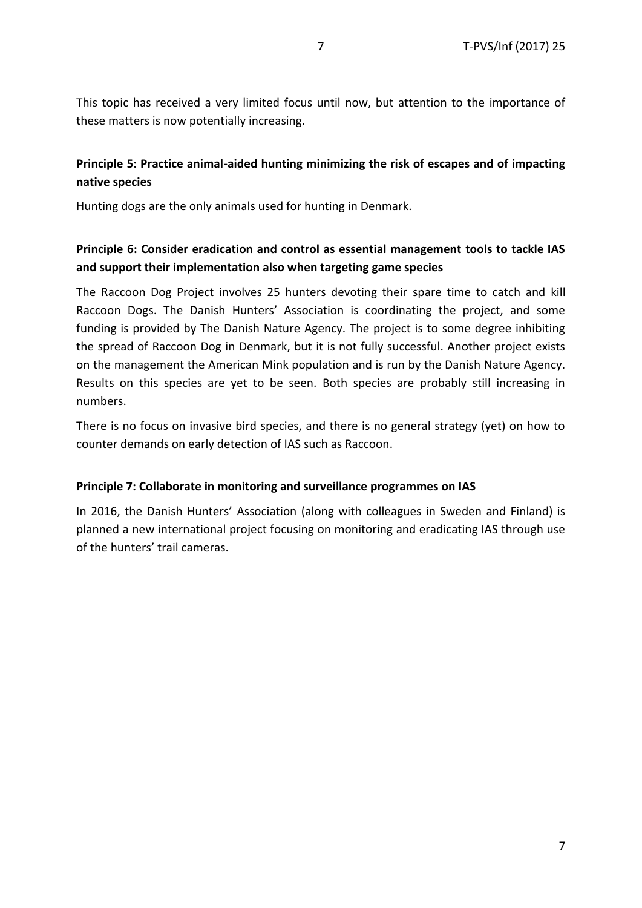This topic has received a very limited focus until now, but attention to the importance of these matters is now potentially increasing.

### **Principle 5: Practice animal-aided hunting minimizing the risk of escapes and of impacting native species**

Hunting dogs are the only animals used for hunting in Denmark.

### **Principle 6: Consider eradication and control as essential management tools to tackle IAS and support their implementation also when targeting game species**

The Raccoon Dog Project involves 25 hunters devoting their spare time to catch and kill Raccoon Dogs. The Danish Hunters' Association is coordinating the project, and some funding is provided by The Danish Nature Agency. The project is to some degree inhibiting the spread of Raccoon Dog in Denmark, but it is not fully successful. Another project exists on the management the American Mink population and is run by the Danish Nature Agency. Results on this species are yet to be seen. Both species are probably still increasing in numbers.

There is no focus on invasive bird species, and there is no general strategy (yet) on how to counter demands on early detection of IAS such as Raccoon.

#### **Principle 7: Collaborate in monitoring and surveillance programmes on IAS**

In 2016, the Danish Hunters' Association (along with colleagues in Sweden and Finland) is planned a new international project focusing on monitoring and eradicating IAS through use of the hunters' trail cameras.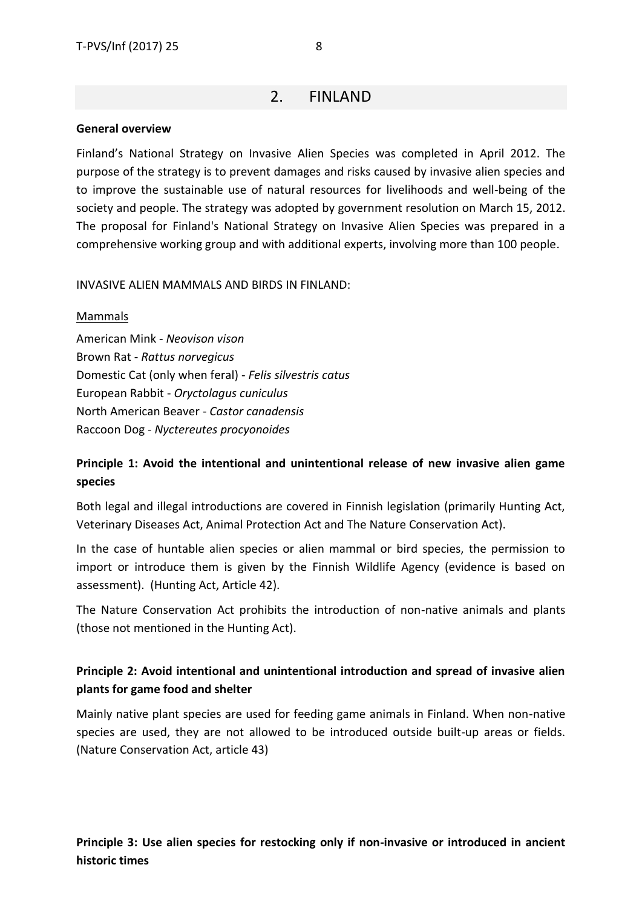### 2. FINLAND

#### <span id="page-7-0"></span>**General overview**

Finland's National Strategy on Invasive Alien Species was completed in April 2012. The purpose of the strategy is to prevent damages and risks caused by invasive alien species and to improve the sustainable use of natural resources for livelihoods and well-being of the society and people. The strategy was adopted by government resolution on March 15, 2012. The proposal for Finland's National Strategy on Invasive Alien Species was prepared in a comprehensive working group and with additional experts, involving more than 100 people.

#### INVASIVE ALIEN MAMMALS AND BIRDS IN FINLAND:

#### Mammals

American Mink - *Neovison vison*  Brown Rat - *Rattus norvegicus* Domestic Cat (only when feral) - *Felis silvestris catus* European Rabbit - *Oryctolagus cuniculus* North American Beaver - *Castor canadensis* Raccoon Dog - *Nyctereutes procyonoides*

### **Principle 1: Avoid the intentional and unintentional release of new invasive alien game species**

Both legal and illegal introductions are covered in Finnish legislation (primarily Hunting Act, Veterinary Diseases Act, Animal Protection Act and The Nature Conservation Act).

In the case of huntable alien species or alien mammal or bird species, the permission to import or introduce them is given by the Finnish Wildlife Agency (evidence is based on assessment). (Hunting Act, Article 42).

The Nature Conservation Act prohibits the introduction of non-native animals and plants (those not mentioned in the Hunting Act).

### **Principle 2: Avoid intentional and unintentional introduction and spread of invasive alien plants for game food and shelter**

Mainly native plant species are used for feeding game animals in Finland. When non-native species are used, they are not allowed to be introduced outside built-up areas or fields. (Nature Conservation Act, article 43)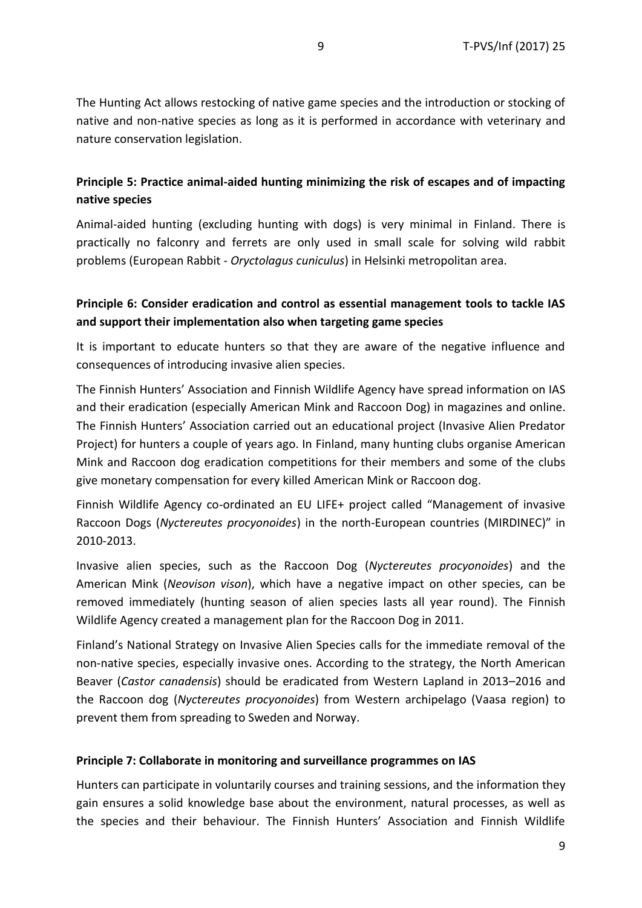The Hunting Act allows restocking of native game species and the introduction or stocking of native and non-native species as long as it is performed in accordance with veterinary and nature conservation legislation.

### **Principle 5: Practice animal-aided hunting minimizing the risk of escapes and of impacting native species**

Animal-aided hunting (excluding hunting with dogs) is very minimal in Finland. There is practically no falconry and ferrets are only used in small scale for solving wild rabbit problems (European Rabbit - *Oryctolagus cuniculus*) in Helsinki metropolitan area.

### **Principle 6: Consider eradication and control as essential management tools to tackle IAS and support their implementation also when targeting game species**

It is important to educate hunters so that they are aware of the negative influence and consequences of introducing invasive alien species.

The Finnish Hunters' Association and Finnish Wildlife Agency have spread information on IAS and their eradication (especially American Mink and Raccoon Dog) in magazines and online. The Finnish Hunters' Association carried out an educational project (Invasive Alien Predator Project) for hunters a couple of years ago. In Finland, many hunting clubs organise American Mink and Raccoon dog eradication competitions for their members and some of the clubs give monetary compensation for every killed American Mink or Raccoon dog.

Finnish Wildlife Agency co-ordinated an EU LIFE+ project called "Management of invasive Raccoon Dogs (*Nyctereutes procyonoides*) in the north-European countries (MIRDINEC)" in 2010-2013.

Invasive alien species, such as the Raccoon Dog (*Nyctereutes procyonoides*) and the American Mink (*Neovison vison*), which have a negative impact on other species, can be removed immediately (hunting season of alien species lasts all year round). The Finnish Wildlife Agency created a management plan for the Raccoon Dog in 2011.

Finland's National Strategy on Invasive Alien Species calls for the immediate removal of the non-native species, especially invasive ones. According to the strategy, the North American Beaver (*Castor canadensis*) should be eradicated from Western Lapland in 2013–2016 and the Raccoon dog (*Nyctereutes procyonoides*) from Western archipelago (Vaasa region) to prevent them from spreading to Sweden and Norway.

#### **Principle 7: Collaborate in monitoring and surveillance programmes on IAS**

Hunters can participate in voluntarily courses and training sessions, and the information they gain ensures a solid knowledge base about the environment, natural processes, as well as the species and their behaviour. The Finnish Hunters' Association and Finnish Wildlife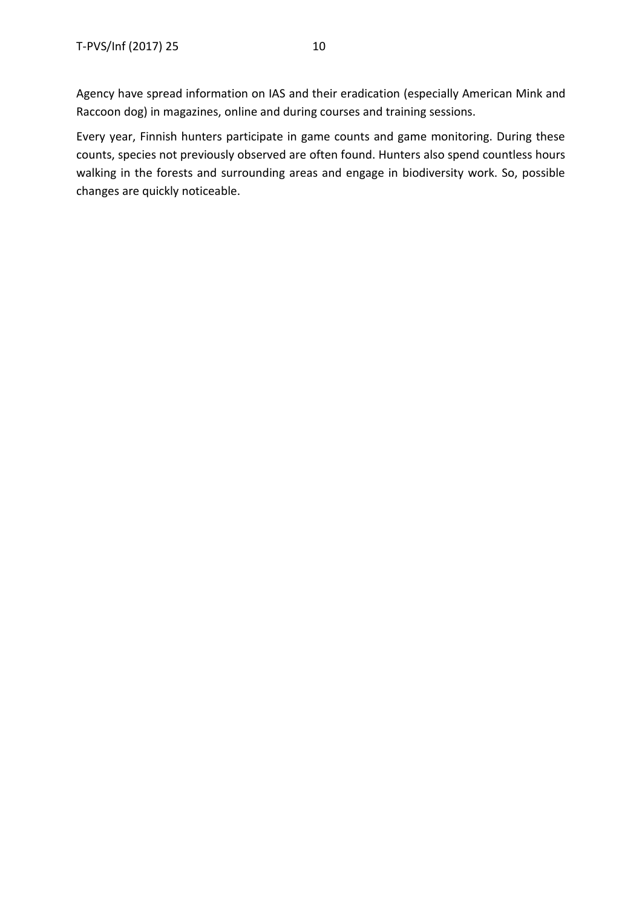Every year, Finnish hunters participate in game counts and game monitoring. During these counts, species not previously observed are often found. Hunters also spend countless hours walking in the forests and surrounding areas and engage in biodiversity work. So, possible changes are quickly noticeable.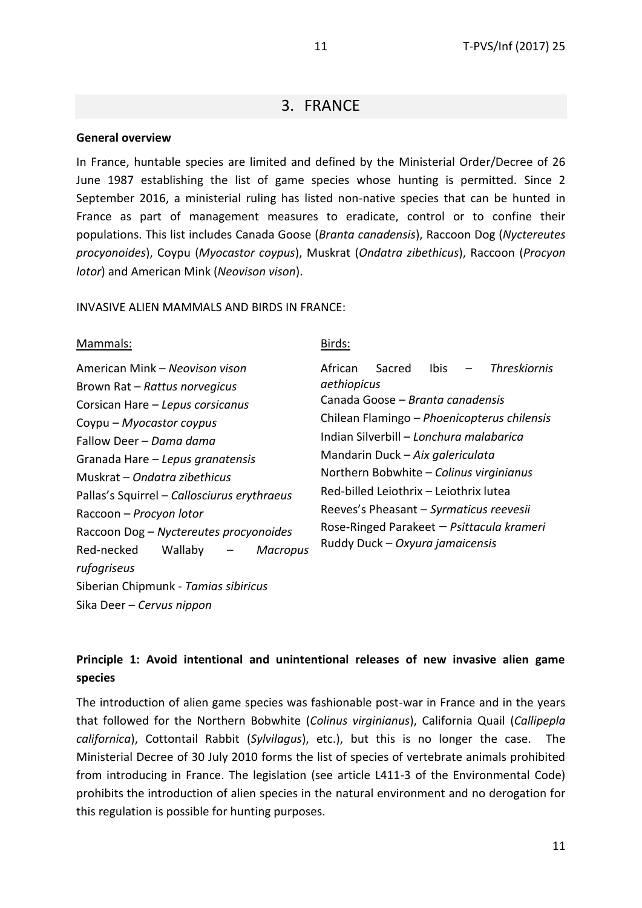### 3. FRANCE

#### <span id="page-10-0"></span>**General overview**

In France, huntable species are limited and defined by the Ministerial Order/Decree of 26 June 1987 establishing the list of game species whose hunting is permitted. Since 2 September 2016, a ministerial ruling has listed non-native species that can be hunted in France as part of management measures to eradicate, control or to confine their populations. This list includes Canada Goose (*Branta canadensis*), Raccoon Dog (*Nyctereutes procyonoides*), Coypu (*Myocastor coypus*), Muskrat (*Ondatra zibethicus*), Raccoon (*Procyon lotor*) and American Mink (*Neovison vison*).

INVASIVE ALIEN MAMMALS AND BIRDS IN FRANCE:

#### Mammals:

| American Mink - Neovison vison              |  |  |  |  |
|---------------------------------------------|--|--|--|--|
| Brown Rat - Rattus norvegicus               |  |  |  |  |
| Corsican Hare – Lepus corsicanus            |  |  |  |  |
| Coypu - Myocastor coypus                    |  |  |  |  |
| Fallow Deer - Dama dama                     |  |  |  |  |
| Granada Hare - Lepus granatensis            |  |  |  |  |
| Muskrat - Ondatra zibethicus                |  |  |  |  |
| Pallas's Squirrel - Callosciurus erythraeus |  |  |  |  |
| Raccoon - Procyon lotor                     |  |  |  |  |
| Raccoon Dog - Nyctereutes procyonoides      |  |  |  |  |
| Red-necked Wallaby - Macropus               |  |  |  |  |
| rufogriseus                                 |  |  |  |  |
| Siberian Chipmunk - Tamias sibiricus        |  |  |  |  |
| Sika Deer – Cervus nippon                   |  |  |  |  |

#### Birds:

African Sacred Ibis – *Threskiornis aethiopicus* Canada Goose – *Branta canadensis* Chilean Flamingo – *Phoenicopterus chilensis* Indian Silverbill – *Lonchura malabarica* Mandarin Duck – *Aix galericulata* Northern Bobwhite – *Colinus virginianus* Red-billed Leiothrix – Leiothrix lutea Reeves's Pheasant – *Syrmaticus reevesii* Rose-Ringed Parakeet – *Psittacula krameri* Ruddy Duck – *Oxyura jamaicensis*

### **Principle 1: Avoid intentional and unintentional releases of new invasive alien game species**

The introduction of alien game species was fashionable post-war in France and in the years that followed for the Northern Bobwhite (*Colinus virginianus*), California Quail (*Callipepla californica*), Cottontail Rabbit (*Sylvilagus*), etc.), but this is no longer the case. The Ministerial Decree of 30 July 2010 forms the list of species of vertebrate animals prohibited from introducing in France. The legislation (see article L411-3 of the Environmental Code) prohibits the introduction of alien species in the natural environment and no derogation for this regulation is possible for hunting purposes.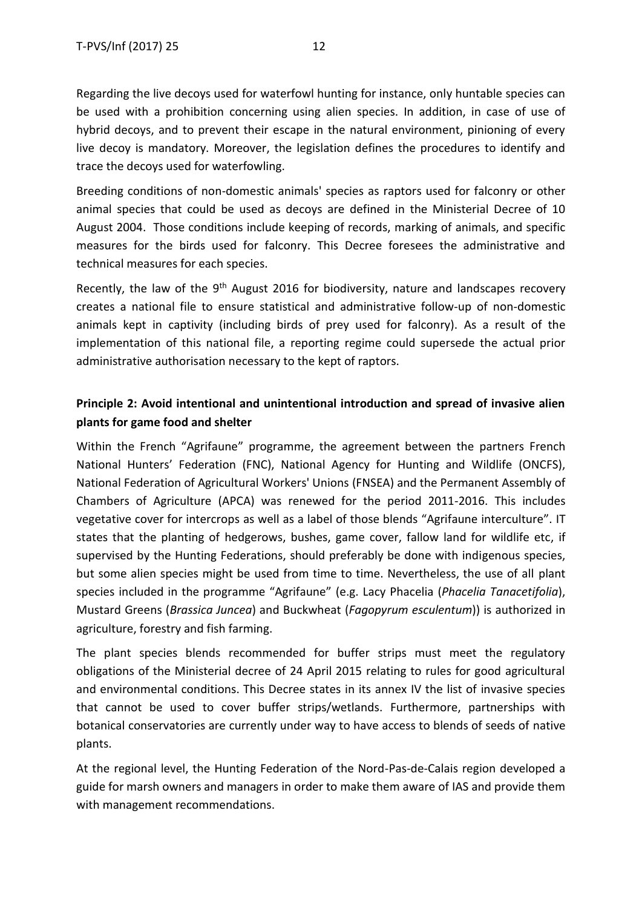Regarding the live decoys used for waterfowl hunting for instance, only huntable species can be used with a prohibition concerning using alien species. In addition, in case of use of hybrid decoys, and to prevent their escape in the natural environment, pinioning of every live decoy is mandatory. Moreover, the legislation defines the procedures to identify and trace the decoys used for waterfowling.

Breeding conditions of non-domestic animals' species as raptors used for falconry or other animal species that could be used as decoys are defined in the Ministerial Decree of 10 August 2004. Those conditions include keeping of records, marking of animals, and specific measures for the birds used for falconry. This Decree foresees the administrative and technical measures for each species.

Recently, the law of the  $9<sup>th</sup>$  August 2016 for biodiversity, nature and landscapes recovery creates a national file to ensure statistical and administrative follow-up of non-domestic animals kept in captivity (including birds of prey used for falconry). As a result of the implementation of this national file, a reporting regime could supersede the actual prior administrative authorisation necessary to the kept of raptors.

### **Principle 2: Avoid intentional and unintentional introduction and spread of invasive alien plants for game food and shelter**

Within the French "Agrifaune" programme, the agreement between the partners French National Hunters' Federation (FNC), National Agency for Hunting and Wildlife (ONCFS), National Federation of Agricultural Workers' Unions (FNSEA) and the Permanent Assembly of Chambers of Agriculture (APCA) was renewed for the period 2011-2016. This includes vegetative cover for intercrops as well as a label of those blends "Agrifaune interculture". IT states that the planting of hedgerows, bushes, game cover, fallow land for wildlife etc, if supervised by the Hunting Federations, should preferably be done with indigenous species, but some alien species might be used from time to time. Nevertheless, the use of all plant species included in the programme "Agrifaune" (e.g. Lacy Phacelia (*Phacelia Tanacetifolia*), Mustard Greens (*Brassica Juncea*) and Buckwheat (*Fagopyrum esculentum*)) is authorized in agriculture, forestry and fish farming.

The plant species blends recommended for buffer strips must meet the regulatory obligations of the Ministerial decree of 24 April 2015 relating to rules for good agricultural and environmental conditions. This Decree states in its annex IV the list of invasive species that cannot be used to cover buffer strips/wetlands. Furthermore, partnerships with botanical conservatories are currently under way to have access to blends of seeds of native plants.

At the regional level, the Hunting Federation of the Nord-Pas-de-Calais region developed a guide for marsh owners and managers in order to make them aware of IAS and provide them with management recommendations.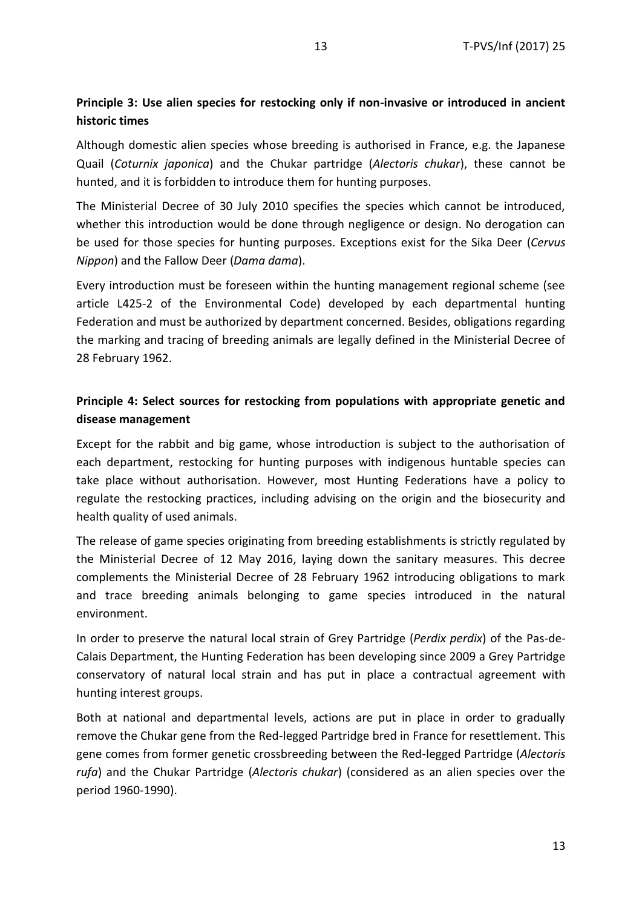#### **Principle 3: Use alien species for restocking only if non-invasive or introduced in ancient historic times**

Although domestic alien species whose breeding is authorised in France, e.g. the Japanese Quail (*Coturnix japonica*) and the Chukar partridge (*Alectoris chukar*), these cannot be hunted, and it is forbidden to introduce them for hunting purposes.

The Ministerial Decree of 30 July 2010 specifies the species which cannot be introduced, whether this introduction would be done through negligence or design. No derogation can be used for those species for hunting purposes. Exceptions exist for the Sika Deer (*Cervus Nippon*) and the Fallow Deer (*Dama dama*).

Every introduction must be foreseen within the hunting management regional scheme (see article L425-2 of the Environmental Code) developed by each departmental hunting Federation and must be authorized by department concerned. Besides, obligations regarding the marking and tracing of breeding animals are legally defined in the Ministerial Decree of 28 February 1962.

### **Principle 4: Select sources for restocking from populations with appropriate genetic and disease management**

Except for the rabbit and big game, whose introduction is subject to the authorisation of each department, restocking for hunting purposes with indigenous huntable species can take place without authorisation. However, most Hunting Federations have a policy to regulate the restocking practices, including advising on the origin and the biosecurity and health quality of used animals.

The release of game species originating from breeding establishments is strictly regulated by the Ministerial Decree of 12 May 2016, laying down the sanitary measures. This decree complements the Ministerial Decree of 28 February 1962 introducing obligations to mark and trace breeding animals belonging to game species introduced in the natural environment.

In order to preserve the natural local strain of Grey Partridge (*Perdix perdix*) of the Pas-de-Calais Department, the Hunting Federation has been developing since 2009 a Grey Partridge conservatory of natural local strain and has put in place a contractual agreement with hunting interest groups.

Both at national and departmental levels, actions are put in place in order to gradually remove the Chukar gene from the Red-legged Partridge bred in France for resettlement. This gene comes from former genetic crossbreeding between the Red-legged Partridge (*Alectoris rufa*) and the Chukar Partridge (*Alectoris chukar*) (considered as an alien species over the period 1960-1990).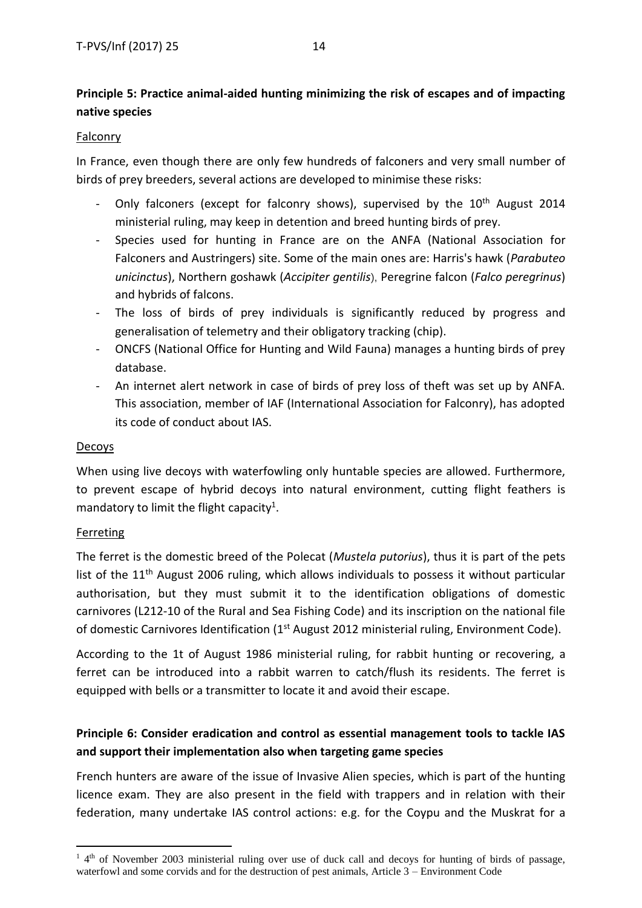### **Principle 5: Practice animal-aided hunting minimizing the risk of escapes and of impacting native species**

#### Falconry

In France, even though there are only few hundreds of falconers and very small number of birds of prey breeders, several actions are developed to minimise these risks:

- Only falconers (except for falconry shows), supervised by the 10<sup>th</sup> August 2014 ministerial ruling, may keep in detention and breed hunting birds of prey.
- Species used for hunting in France are on the ANFA (National Association for Falconers and Austringers) site. Some of the main ones are: Harris's hawk (*Parabuteo unicinctus*), Northern goshawk (*Accipiter gentilis*), Peregrine falcon (*Falco peregrinus*) and hybrids of falcons.
- The loss of birds of prey individuals is significantly reduced by progress and generalisation of telemetry and their obligatory tracking (chip).
- ONCFS (National Office for Hunting and Wild Fauna) manages a hunting birds of prey database.
- An internet alert network in case of birds of prey loss of theft was set up by ANFA. This association, member of IAF (International Association for Falconry), has adopted its code of conduct about IAS.

#### Decoys

When using live decoys with waterfowling only huntable species are allowed. Furthermore, to prevent escape of hybrid decoys into natural environment, cutting flight feathers is mandatory to limit the flight capacity<sup>1</sup>.

#### **Ferreting**

**.** 

The ferret is the domestic breed of the Polecat (*Mustela putorius*), thus it is part of the pets list of the  $11<sup>th</sup>$  August 2006 ruling, which allows individuals to possess it without particular authorisation, but they must submit it to the identification obligations of domestic carnivores (L212-10 of the Rural and Sea Fishing Code) and its inscription on the national file of domestic Carnivores Identification (1<sup>st</sup> August 2012 ministerial ruling, Environment Code).

According to the 1t of August 1986 ministerial ruling, for rabbit hunting or recovering, a ferret can be introduced into a rabbit warren to catch/flush its residents. The ferret is equipped with bells or a transmitter to locate it and avoid their escape.

### **Principle 6: Consider eradication and control as essential management tools to tackle IAS and support their implementation also when targeting game species**

French hunters are aware of the issue of Invasive Alien species, which is part of the hunting licence exam. They are also present in the field with trappers and in relation with their federation, many undertake IAS control actions: e.g. for the Coypu and the Muskrat for a

<sup>&</sup>lt;sup>1</sup> 4<sup>th</sup> of November 2003 ministerial ruling over use of duck call and decoys for hunting of birds of passage, waterfowl and some corvids and for the destruction of pest animals, Article 3 – Environment Code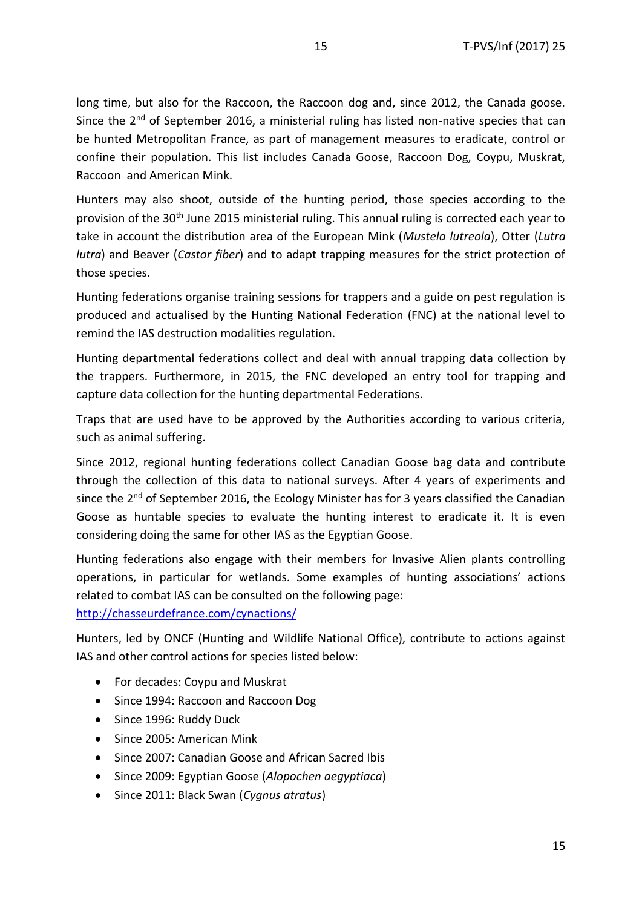long time, but also for the Raccoon, the Raccoon dog and, since 2012, the Canada goose. Since the  $2^{nd}$  of September 2016, a ministerial ruling has listed non-native species that can be hunted Metropolitan France, as part of management measures to eradicate, control or confine their population. This list includes Canada Goose, Raccoon Dog, Coypu, Muskrat, Raccoon and American Mink.

Hunters may also shoot, outside of the hunting period, those species according to the provision of the 30<sup>th</sup> June 2015 ministerial ruling. This annual ruling is corrected each year to take in account the distribution area of the European Mink (*Mustela lutreola*), Otter (*Lutra lutra*) and Beaver (*Castor fiber*) and to adapt trapping measures for the strict protection of those species.

Hunting federations organise training sessions for trappers and a guide on pest regulation is produced and actualised by the Hunting National Federation (FNC) at the national level to remind the IAS destruction modalities regulation.

Hunting departmental federations collect and deal with annual trapping data collection by the trappers. Furthermore, in 2015, the FNC developed an entry tool for trapping and capture data collection for the hunting departmental Federations.

Traps that are used have to be approved by the Authorities according to various criteria, such as animal suffering.

Since 2012, regional hunting federations collect Canadian Goose bag data and contribute through the collection of this data to national surveys. After 4 years of experiments and since the  $2^{nd}$  of September 2016, the Ecology Minister has for 3 years classified the Canadian Goose as huntable species to evaluate the hunting interest to eradicate it. It is even considering doing the same for other IAS as the Egyptian Goose.

Hunting federations also engage with their members for Invasive Alien plants controlling operations, in particular for wetlands. Some examples of hunting associations' actions related to combat IAS can be consulted on the following page:

<http://chasseurdefrance.com/cynactions/>

Hunters, led by ONCF (Hunting and Wildlife National Office), contribute to actions against IAS and other control actions for species listed below:

- For decades: Coypu and Muskrat
- Since 1994: Raccoon and Raccoon Dog
- Since 1996: Ruddy Duck
- Since 2005: American Mink
- Since 2007: Canadian Goose and African Sacred Ibis
- Since 2009: Egyptian Goose (*Alopochen aegyptiaca*)
- Since 2011: Black Swan (*Cygnus atratus*)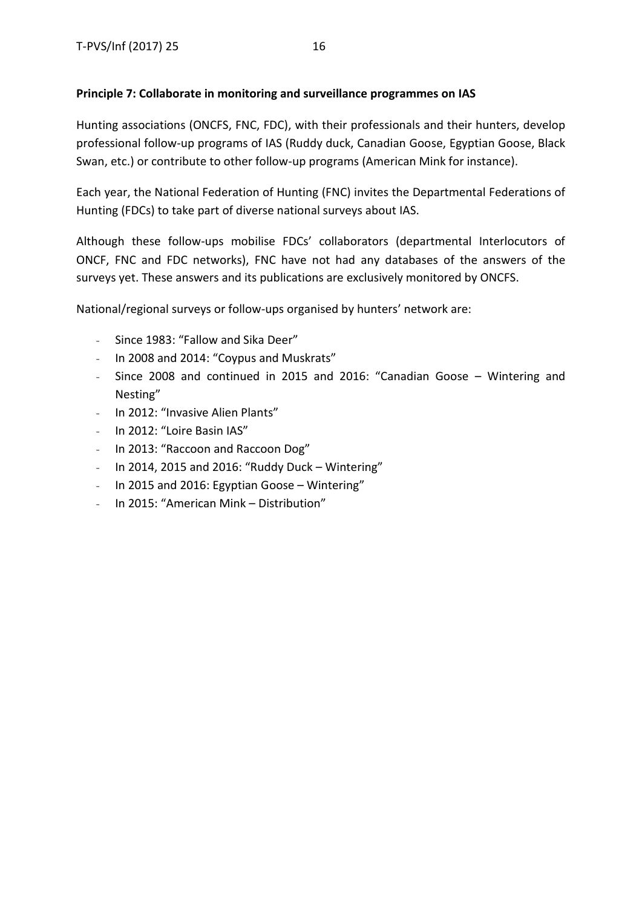#### **Principle 7: Collaborate in monitoring and surveillance programmes on IAS**

Hunting associations (ONCFS, FNC, FDC), with their professionals and their hunters, develop professional follow-up programs of IAS (Ruddy duck, Canadian Goose, Egyptian Goose, Black Swan, etc.) or contribute to other follow-up programs (American Mink for instance).

Each year, the National Federation of Hunting (FNC) invites the Departmental Federations of Hunting (FDCs) to take part of diverse national surveys about IAS.

Although these follow-ups mobilise FDCs' collaborators (departmental Interlocutors of ONCF, FNC and FDC networks), FNC have not had any databases of the answers of the surveys yet. These answers and its publications are exclusively monitored by ONCFS.

National/regional surveys or follow-ups organised by hunters' network are:

- Since 1983: "Fallow and Sika Deer"
- In 2008 and 2014: "Coypus and Muskrats"
- Since 2008 and continued in 2015 and 2016: "Canadian Goose Wintering and Nesting"
- In 2012: "Invasive Alien Plants"
- In 2012: "Loire Basin IAS"
- In 2013: "Raccoon and Raccoon Dog"
- In 2014, 2015 and 2016: "Ruddy Duck Wintering"
- In 2015 and 2016: Egyptian Goose Wintering"
- In 2015: "American Mink Distribution"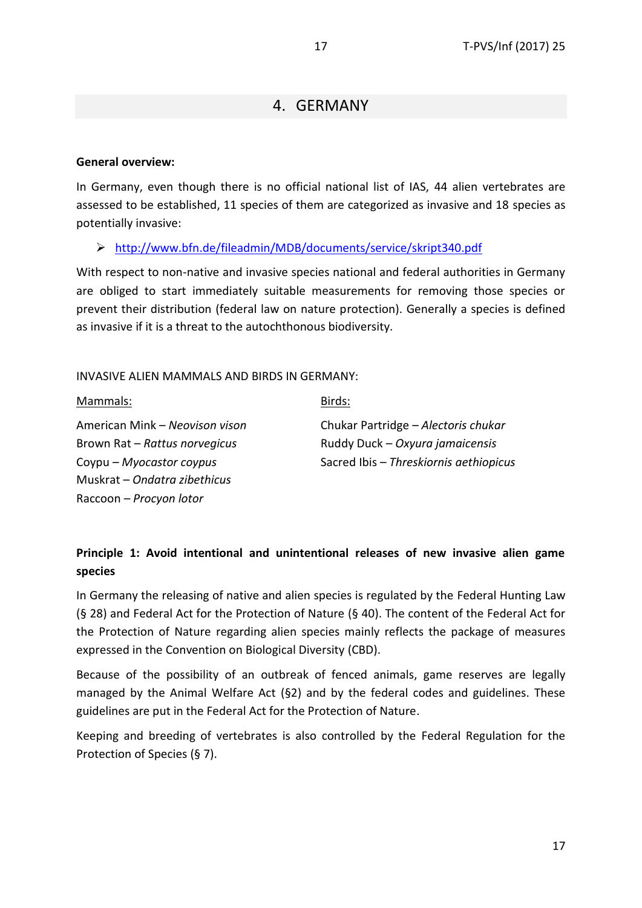### 4. GERMANY

#### <span id="page-16-0"></span>**General overview:**

In Germany, even though there is no official national list of IAS, 44 alien vertebrates are assessed to be established, 11 species of them are categorized as invasive and 18 species as potentially invasive:

➢ <http://www.bfn.de/fileadmin/MDB/documents/service/skript340.pdf>

With respect to non-native and invasive species national and federal authorities in Germany are obliged to start immediately suitable measurements for removing those species or prevent their distribution (federal law on nature protection). Generally a species is defined as invasive if it is a threat to the autochthonous biodiversity.

INVASIVE ALIEN MAMMALS AND BIRDS IN GERMANY:

Mammals:

Birds:

American Mink – *Neovison vison* Brown Rat – *Rattus norvegicus* Coypu – *Myocastor coypus* Muskrat – *Ondatra zibethicus* Raccoon – *Procyon lotor*

Chukar Partridge – *Alectoris chukar* Ruddy Duck – *Oxyura jamaicensis* Sacred Ibis – *Threskiornis aethiopicus*

### **Principle 1: Avoid intentional and unintentional releases of new invasive alien game species**

In Germany the releasing of native and alien species is regulated by the Federal Hunting Law (§ 28) and Federal Act for the Protection of Nature (§ 40). The content of the Federal Act for the Protection of Nature regarding alien species mainly reflects the package of measures expressed in the Convention on Biological Diversity (CBD).

Because of the possibility of an outbreak of fenced animals, game reserves are legally managed by the Animal Welfare Act (§2) and by the federal codes and guidelines. These guidelines are put in the Federal Act for the Protection of Nature.

Keeping and breeding of vertebrates is also controlled by the Federal Regulation for the Protection of Species (§ 7).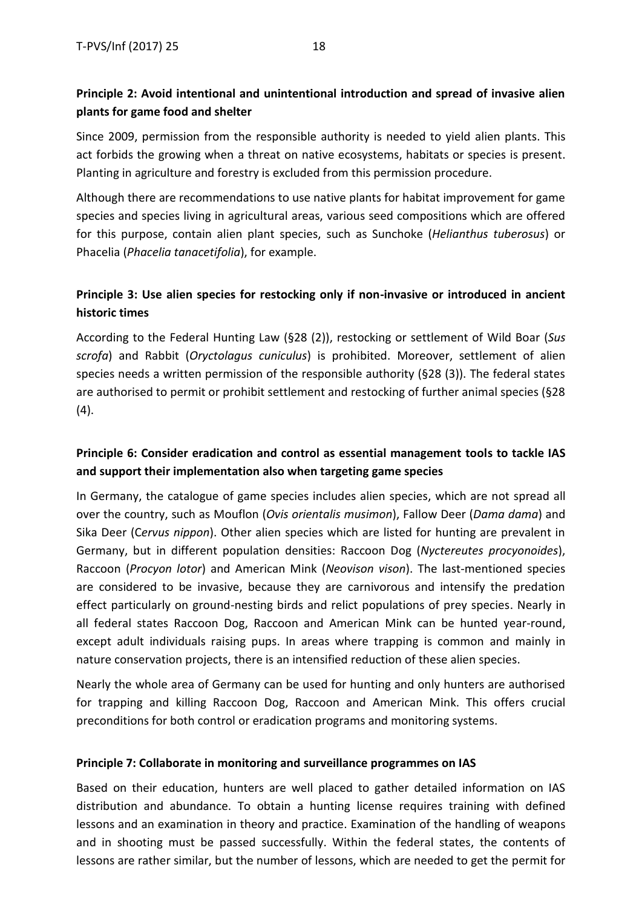### **Principle 2: Avoid intentional and unintentional introduction and spread of invasive alien plants for game food and shelter**

Since 2009, permission from the responsible authority is needed to yield alien plants. This act forbids the growing when a threat on native ecosystems, habitats or species is present. Planting in agriculture and forestry is excluded from this permission procedure.

Although there are recommendations to use native plants for habitat improvement for game species and species living in agricultural areas, various seed compositions which are offered for this purpose, contain alien plant species, such as Sunchoke (*Helianthus tuberosus*) or Phacelia (*Phacelia tanacetifolia*), for example.

### **Principle 3: Use alien species for restocking only if non-invasive or introduced in ancient historic times**

According to the Federal Hunting Law (§28 (2)), restocking or settlement of Wild Boar (*Sus scrofa*) and Rabbit (*Oryctolagus cuniculus*) is prohibited. Moreover, settlement of alien species needs a written permission of the responsible authority (§28 (3)). The federal states are authorised to permit or prohibit settlement and restocking of further animal species (§28  $(4).$ 

### **Principle 6: Consider eradication and control as essential management tools to tackle IAS and support their implementation also when targeting game species**

In Germany, the catalogue of game species includes alien species, which are not spread all over the country, such as Mouflon (*Ovis orientalis musimon*), Fallow Deer (*Dama dama*) and Sika Deer (C*ervus nippon*). Other alien species which are listed for hunting are prevalent in Germany, but in different population densities: Raccoon Dog (*Nyctereutes procyonoides*), Raccoon (*Procyon lotor*) and American Mink (*Neovison vison*). The last-mentioned species are considered to be invasive, because they are carnivorous and intensify the predation effect particularly on ground-nesting birds and relict populations of prey species. Nearly in all federal states Raccoon Dog, Raccoon and American Mink can be hunted year-round, except adult individuals raising pups. In areas where trapping is common and mainly in nature conservation projects, there is an intensified reduction of these alien species.

Nearly the whole area of Germany can be used for hunting and only hunters are authorised for trapping and killing Raccoon Dog, Raccoon and American Mink. This offers crucial preconditions for both control or eradication programs and monitoring systems.

#### **Principle 7: Collaborate in monitoring and surveillance programmes on IAS**

Based on their education, hunters are well placed to gather detailed information on IAS distribution and abundance. To obtain a hunting license requires training with defined lessons and an examination in theory and practice. Examination of the handling of weapons and in shooting must be passed successfully. Within the federal states, the contents of lessons are rather similar, but the number of lessons, which are needed to get the permit for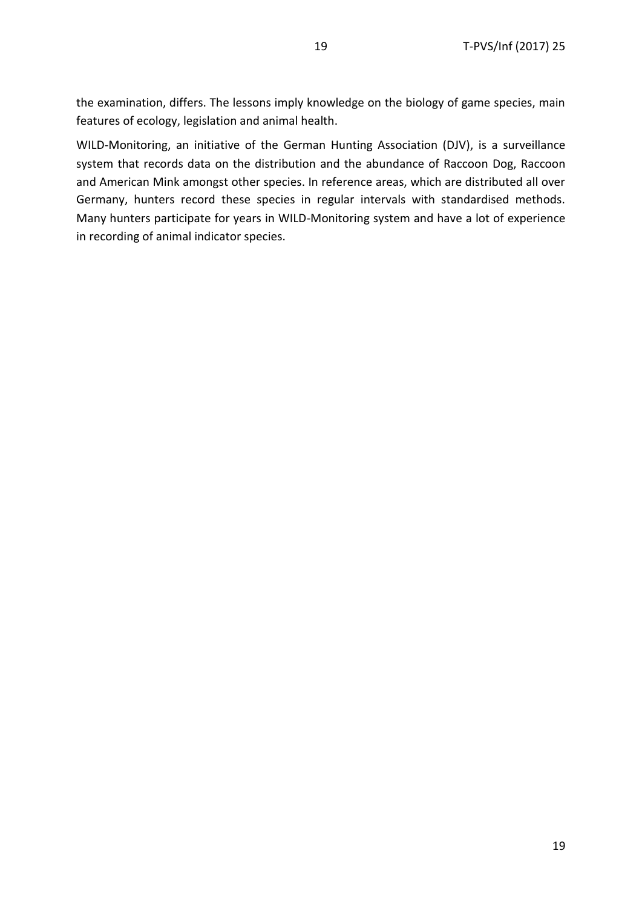the examination, differs. The lessons imply knowledge on the biology of game species, main features of ecology, legislation and animal health.

WILD-Monitoring, an initiative of the German Hunting Association (DJV), is a surveillance system that records data on the distribution and the abundance of Raccoon Dog, Raccoon and American Mink amongst other species. In reference areas, which are distributed all over Germany, hunters record these species in regular intervals with standardised methods. Many hunters participate for years in WILD-Monitoring system and have a lot of experience in recording of animal indicator species.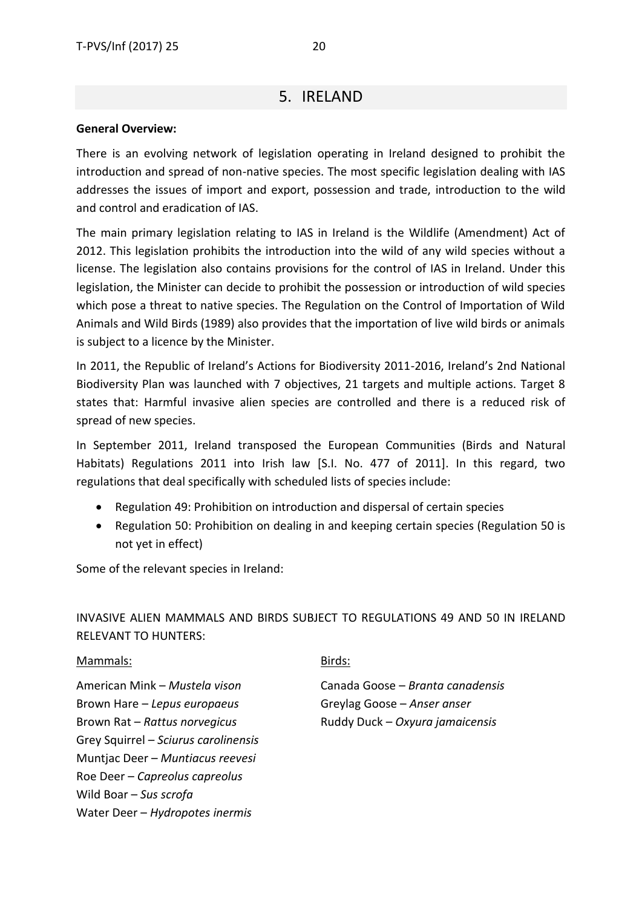### 5. IRELAND

#### <span id="page-19-0"></span>**General Overview:**

There is an evolving network of legislation operating in Ireland designed to prohibit the introduction and spread of non-native species. The most specific legislation dealing with IAS addresses the issues of import and export, possession and trade, introduction to the wild and control and eradication of IAS.

The main primary legislation relating to IAS in Ireland is the Wildlife (Amendment) Act of 2012. This legislation prohibits the introduction into the wild of any wild species without a license. The legislation also contains provisions for the control of IAS in Ireland. Under this legislation, the Minister can decide to prohibit the possession or introduction of wild species which pose a threat to native species. The Regulation on the Control of Importation of Wild Animals and Wild Birds (1989) also provides that the importation of live wild birds or animals is subject to a licence by the Minister.

In 2011, the Republic of Ireland's Actions for Biodiversity 2011-2016, Ireland's 2nd National Biodiversity Plan was launched with 7 objectives, 21 targets and multiple actions. Target 8 states that: Harmful invasive alien species are controlled and there is a reduced risk of spread of new species.

In September 2011, Ireland transposed the European Communities (Birds and Natural Habitats) Regulations 2011 into Irish law [S.I. No. 477 of 2011]. In this regard, two regulations that deal specifically with scheduled lists of species include:

- Regulation 49: Prohibition on introduction and dispersal of certain species
- Regulation 50: Prohibition on dealing in and keeping certain species (Regulation 50 is not yet in effect)

Some of the relevant species in Ireland:

INVASIVE ALIEN MAMMALS AND BIRDS SUBJECT TO REGULATIONS 49 AND 50 IN IRELAND RELEVANT TO HUNTERS:

#### Mammals:

American Mink – *Mustela vison* Brown Hare – *Lepus europaeus* Brown Rat – *Rattus norvegicus* Grey Squirrel – *Sciurus carolinensis* Muntjac Deer – *Muntiacus reevesi* Roe Deer – *Capreolus capreolus* Wild Boar – *Sus scrofa* Water Deer – *Hydropotes inermis*

#### Birds:

Canada Goose – *Branta canadensis* Greylag Goose – *Anser anser* Ruddy Duck – *Oxyura jamaicensis*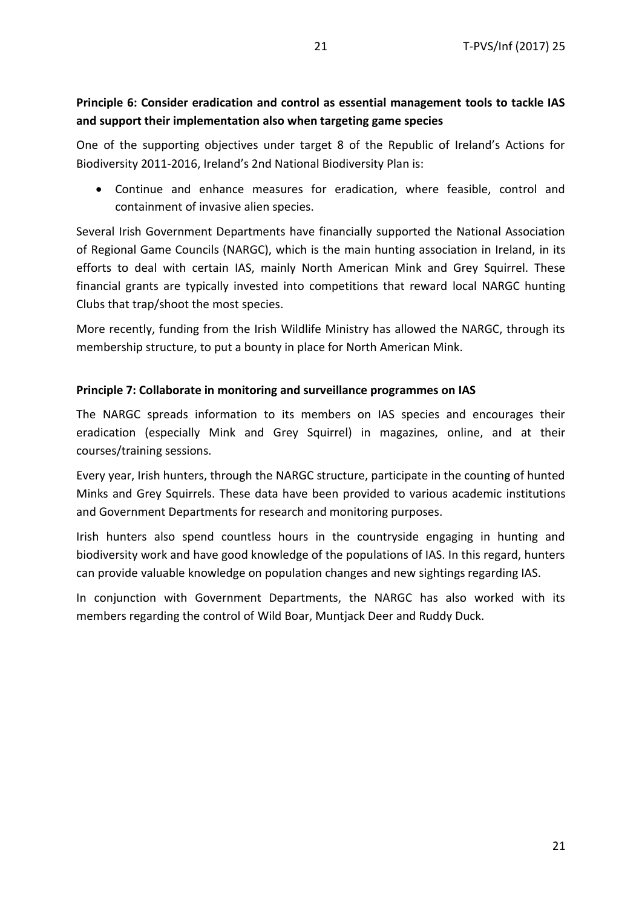### **Principle 6: Consider eradication and control as essential management tools to tackle IAS and support their implementation also when targeting game species**

One of the supporting objectives under target 8 of the Republic of Ireland's Actions for Biodiversity 2011-2016, Ireland's 2nd National Biodiversity Plan is:

• Continue and enhance measures for eradication, where feasible, control and containment of invasive alien species.

Several Irish Government Departments have financially supported the National Association of Regional Game Councils (NARGC), which is the main hunting association in Ireland, in its efforts to deal with certain IAS, mainly North American Mink and Grey Squirrel. These financial grants are typically invested into competitions that reward local NARGC hunting Clubs that trap/shoot the most species.

More recently, funding from the Irish Wildlife Ministry has allowed the NARGC, through its membership structure, to put a bounty in place for North American Mink.

#### **Principle 7: Collaborate in monitoring and surveillance programmes on IAS**

The NARGC spreads information to its members on IAS species and encourages their eradication (especially Mink and Grey Squirrel) in magazines, online, and at their courses/training sessions.

Every year, Irish hunters, through the NARGC structure, participate in the counting of hunted Minks and Grey Squirrels. These data have been provided to various academic institutions and Government Departments for research and monitoring purposes.

Irish hunters also spend countless hours in the countryside engaging in hunting and biodiversity work and have good knowledge of the populations of IAS. In this regard, hunters can provide valuable knowledge on population changes and new sightings regarding IAS.

In conjunction with Government Departments, the NARGC has also worked with its members regarding the control of Wild Boar, Muntjack Deer and Ruddy Duck.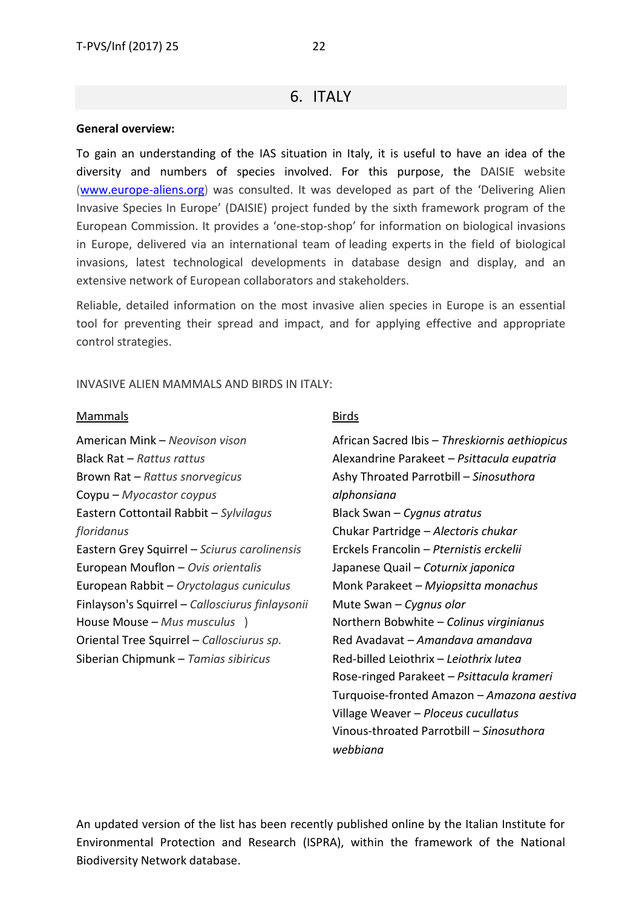#### <span id="page-21-0"></span>**General overview:**

To gain an understanding of the IAS situation in Italy, it is useful to have an idea of the diversity and numbers of species involved. For this purpose, the DAISIE website [\(www.europe-aliens.org\)](http://www.europe-aliens.org/) was consulted. It was developed as part of the 'Delivering Alien Invasive Species In Europe' (DAISIE) project funded by the sixth framework program of the European Commission. It provides a 'one-stop-shop' for information on biological invasions in Europe, delivered via an international team of leading [experts](http://www.europe-aliens.org/aboutDAISIE.do) in the field of biological invasions, latest technological developments in database design and display, and an extensive network of European [collaborators](http://www.europe-aliens.org/aboutDAISIE.do) and stakeholders.

Reliable, detailed information on the most invasive alien species in Europe is an essential tool for preventing their spread and impact, and for applying effective and appropriate control strategies.

INVASIVE ALIEN MAMMALS AND BIRDS IN ITALY:

#### Mammals

American Mink – *[Neovison](http://www.europe-aliens.org/speciesFactsheet.do?speciesId=900998) vison* Black Rat – *[Rattus](http://www.europe-aliens.org/speciesFactsheet.do?speciesId=52895) rattus* Brown Rat – *Rattus [snorvegicus](http://www.europe-aliens.org/speciesFactsheet.do?speciesId=52894)* Coypu – *[Myocastor](http://www.europe-aliens.org/speciesFactsheet.do?speciesId=52881) coypus* Eastern Cottontail Rabbit – *[Sylvilagus](http://www.europe-aliens.org/speciesFactsheet.do?speciesId=52904) [floridanus](http://www.europe-aliens.org/speciesFactsheet.do?speciesId=52904)* Eastern Grey Squirrel – *Sciurus [carolinensis](http://www.europe-aliens.org/speciesFactsheet.do?speciesId=52901)* European Mouflon – *Ovis [orientalis](http://www.europe-aliens.org/speciesFactsheet.do?speciesId=901001)* European Rabbit – *[Oryctolagus](http://www.europe-aliens.org/speciesFactsheet.do?speciesId=901000) cuniculus* Finlayson's Squirrel – *[Callosciurus](http://www.europe-aliens.org/speciesFactsheet.do?speciesId=52826) finlaysonii* House Mouse – *Mus [musculus](http://www.europe-aliens.org/speciesFactsheet.do?speciesId=52877)* ) Oriental Tree Squirrel – *[Callosciurus](http://www.europe-aliens.org/speciesFactsheet.do?speciesId=900964) sp.* Siberian Chipmunk – *Tamias [sibiricus](http://www.europe-aliens.org/speciesFactsheet.do?speciesId=52906)*

#### Birds

African Sacred Ibis – *Threskiornis aethiopicus* Alexandrine Parakeet – *Psittacula eupatria* Ashy Throated Parrotbill – *Sinosuthora alphonsiana* Black Swan – *Cygnus atratus* Chukar Partridge – *Alectoris chukar* Erckels Francolin – *Pternistis erckelii* Japanese Quail – *Coturnix japonica* Monk Parakeet – *Myiopsitta monachus* Mute Swan – *Cygnus olor* Northern Bobwhite – *Colinus virginianus* Red Avadavat – *Amandava amandava*  Red-billed Leiothrix – *Leiothrix lutea* Rose-ringed Parakeet – *Psittacula krameri*  Turquoise-fronted Amazon – *Amazona aestiva* Village Weaver – *Ploceus cucullatus* Vinous-throated Parrotbill – *Sinosuthora webbiana*

An updated version of the list has been recently published online by the Italian Institute for Environmental Protection and Research (ISPRA), within the framework of the National Biodiversity Network database.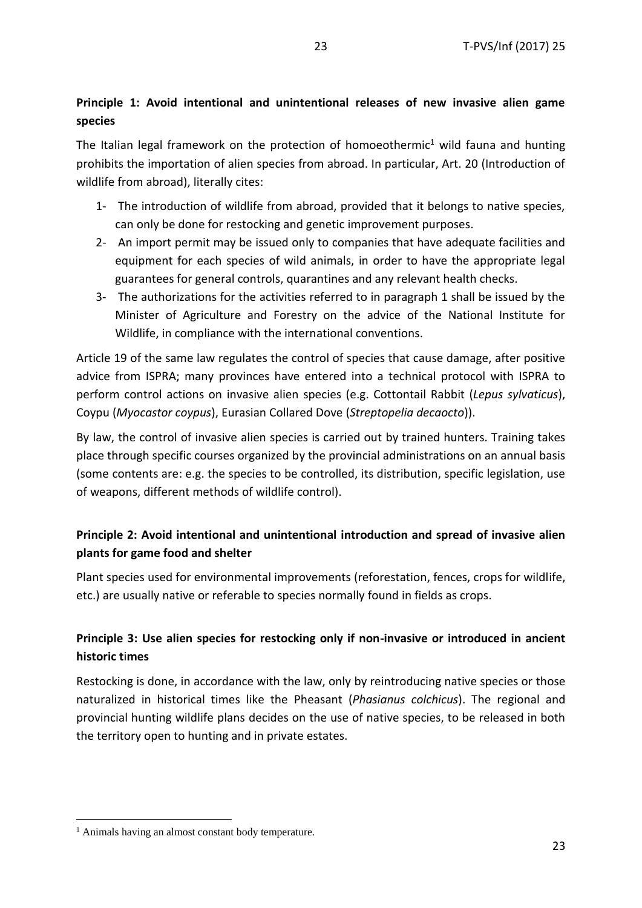### **Principle 1: Avoid intentional and unintentional releases of new invasive alien game species**

The Italian legal framework on the protection of homoeothermic<sup>1</sup> wild fauna and hunting prohibits the importation of alien species from abroad. In particular, Art. 20 (Introduction of wildlife from abroad), literally cites:

- 1- The introduction of wildlife from abroad, provided that it belongs to native species, can only be done for restocking and genetic improvement purposes.
- 2- An import permit may be issued only to companies that have adequate facilities and equipment for each species of wild animals, in order to have the appropriate legal guarantees for general controls, quarantines and any relevant health checks.
- 3- The authorizations for the activities referred to in paragraph 1 shall be issued by the Minister of Agriculture and Forestry on the advice of the National Institute for Wildlife, in compliance with the international conventions.

Article 19 of the same law regulates the control of species that cause damage, after positive advice from ISPRA; many provinces have entered into a technical protocol with ISPRA to perform control actions on invasive alien species (e.g. Cottontail Rabbit (*Lepus sylvaticus*), Coypu (*Myocastor coypus*), Eurasian Collared Dove (*Streptopelia decaocto*)).

By law, the control of invasive alien species is carried out by trained hunters. Training takes place through specific courses organized by the provincial administrations on an annual basis (some contents are: e.g. the species to be controlled, its distribution, specific legislation, use of weapons, different methods of wildlife control).

### **Principle 2: Avoid intentional and unintentional introduction and spread of invasive alien plants for game food and shelter**

Plant species used for environmental improvements (reforestation, fences, crops for wildlife, etc.) are usually native or referable to species normally found in fields as crops.

### **Principle 3: Use alien species for restocking only if non-invasive or introduced in ancient historic t**i**mes**

Restocking is done, in accordance with the law, only by reintroducing native species or those naturalized in historical times like the Pheasant (*Phasianus colchicus*). The regional and provincial hunting wildlife plans decides on the use of native species, to be released in both the territory open to hunting and in private estates.

**.** 

<sup>&</sup>lt;sup>1</sup> Animals having an almost constant body temperature.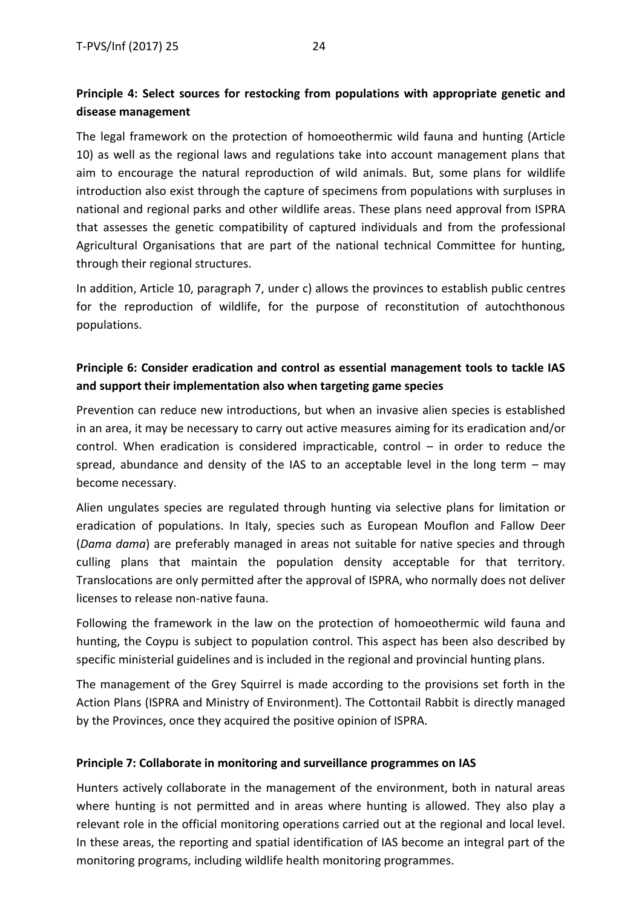### **Principle 4: Select sources for restocking from populations with appropriate genetic and disease management**

The legal framework on the protection of homoeothermic wild fauna and hunting (Article 10) as well as the regional laws and regulations take into account management plans that aim to encourage the natural reproduction of wild animals. But, some plans for wildlife introduction also exist through the capture of specimens from populations with surpluses in national and regional parks and other wildlife areas. These plans need approval from ISPRA that assesses the genetic compatibility of captured individuals and from the professional Agricultural Organisations that are part of the national technical Committee for hunting, through their regional structures.

In addition, Article 10, paragraph 7, under c) allows the provinces to establish public centres for the reproduction of wildlife, for the purpose of reconstitution of autochthonous populations.

### **Principle 6: Consider eradication and control as essential management tools to tackle IAS and support their implementation also when targeting game species**

Prevention can reduce new introductions, but when an invasive alien species is established in an area, it may be necessary to carry out active measures aiming for its eradication and/or control. When eradication is considered impracticable, control – in order to reduce the spread, abundance and density of the IAS to an acceptable level in the long term  $-$  may become necessary.

Alien ungulates species are regulated through hunting via selective plans for limitation or eradication of populations. In Italy, species such as European Mouflon and Fallow Deer (*Dama dama*) are preferably managed in areas not suitable for native species and through culling plans that maintain the population density acceptable for that territory. Translocations are only permitted after the approval of ISPRA, who normally does not deliver licenses to release non-native fauna.

Following the framework in the law on the protection of homoeothermic wild fauna and hunting, the Coypu is subject to population control. This aspect has been also described by specific ministerial guidelines and is included in the regional and provincial hunting plans.

The management of the Grey Squirrel is made according to the provisions set forth in the Action Plans (ISPRA and Ministry of Environment). The Cottontail Rabbit is directly managed by the Provinces, once they acquired the positive opinion of ISPRA.

#### **Principle 7: Collaborate in monitoring and surveillance programmes on IAS**

Hunters actively collaborate in the management of the environment, both in natural areas where hunting is not permitted and in areas where hunting is allowed. They also play a relevant role in the official monitoring operations carried out at the regional and local level. In these areas, the reporting and spatial identification of IAS become an integral part of the monitoring programs, including wildlife health monitoring programmes.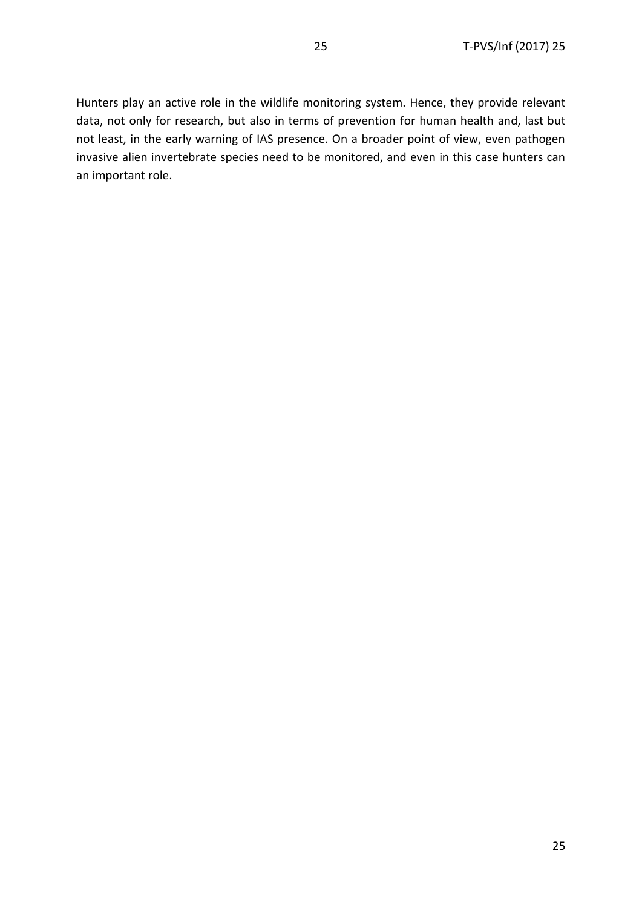Hunters play an active role in the wildlife monitoring system. Hence, they provide relevant data, not only for research, but also in terms of prevention for human health and, last but not least, in the early warning of IAS presence. On a broader point of view, even pathogen invasive alien invertebrate species need to be monitored, and even in this case hunters can an important role.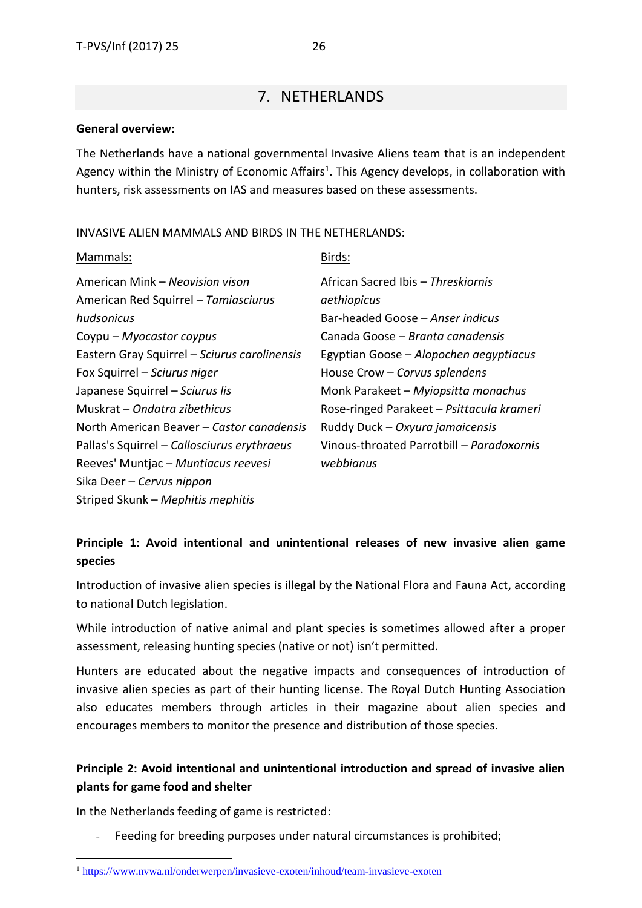### 7. NETHERLANDS

#### <span id="page-25-0"></span>**General overview:**

The Netherlands have a national governmental Invasive Aliens team that is an independent Agency within the Ministry of Economic Affairs<sup>1</sup>. This Agency develops, in collaboration with hunters, risk assessments on IAS and measures based on these assessments.

#### INVASIVE ALIEN MAMMALS AND BIRDS IN THE NETHERLANDS:

| Mammals:                                     | Birds:                                    |
|----------------------------------------------|-------------------------------------------|
| American Mink – Neovision vison              | African Sacred Ibis - Threskiornis        |
| American Red Squirrel - Tamiasciurus         | aethiopicus                               |
| hudsonicus                                   | Bar-headed Goose – Anser indicus          |
| Coypu – Myocastor coypus                     | Canada Goose – Branta canadensis          |
| Eastern Gray Squirrel - Sciurus carolinensis | Egyptian Goose – Alopochen aegyptiacus    |
| Fox Squirrel - Sciurus niger                 | House Crow - Corvus splendens             |
| Japanese Squirrel - Sciurus lis              | Monk Parakeet - Myiopsitta monachus       |
| Muskrat – Ondatra zibethicus                 | Rose-ringed Parakeet - Psittacula krameri |
| North American Beaver - Castor canadensis    | Ruddy Duck - Oxyura jamaicensis           |
| Pallas's Squirrel - Callosciurus erythraeus  | Vinous-throated Parrotbill - Paradoxornis |
| Reeves' Muntjac - Muntiacus reevesi          | webbianus                                 |
| Sika Deer - Cervus nippon                    |                                           |
| Striped Skunk - Mephitis mephitis            |                                           |

### **Principle 1: Avoid intentional and unintentional releases of new invasive alien game species**

Introduction of invasive alien species is illegal by the National Flora and Fauna Act, according to national Dutch legislation.

While introduction of native animal and plant species is sometimes allowed after a proper assessment, releasing hunting species (native or not) isn't permitted.

Hunters are educated about the negative impacts and consequences of introduction of invasive alien species as part of their hunting license. The Royal Dutch Hunting Association also educates members through articles in their magazine about alien species and encourages members to monitor the presence and distribution of those species.

### **Principle 2: Avoid intentional and unintentional introduction and spread of invasive alien plants for game food and shelter**

In the Netherlands feeding of game is restricted:

**.** 

- Feeding for breeding purposes under natural circumstances is prohibited;

<sup>1</sup> <https://www.nvwa.nl/onderwerpen/invasieve-exoten/inhoud/team-invasieve-exoten>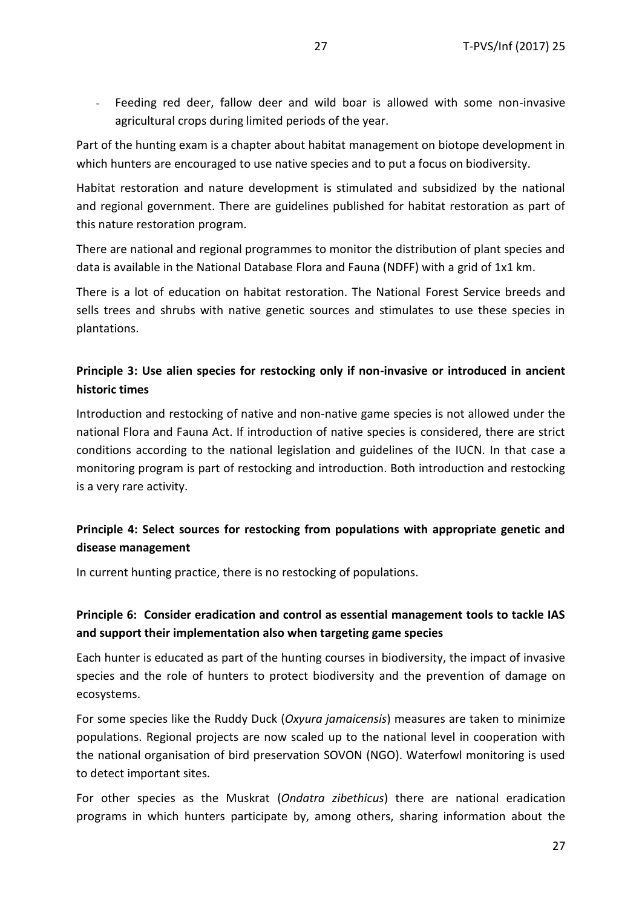- Feeding red deer, fallow deer and wild boar is allowed with some non-invasive agricultural crops during limited periods of the year.

Part of the hunting exam is a chapter about habitat management on biotope development in which hunters are encouraged to use native species and to put a focus on biodiversity.

Habitat restoration and nature development is stimulated and subsidized by the national and regional government. There are guidelines published for habitat restoration as part of this nature restoration program.

There are national and regional programmes to monitor the distribution of plant species and data is available in the National Database Flora and Fauna (NDFF) with a grid of 1x1 km.

There is a lot of education on habitat restoration. The National Forest Service breeds and sells trees and shrubs with native genetic sources and stimulates to use these species in plantations.

### **Principle 3: Use alien species for restocking only if non-invasive or introduced in ancient historic times**

Introduction and restocking of native and non-native game species is not allowed under the national Flora and Fauna Act. If introduction of native species is considered, there are strict conditions according to the national legislation and guidelines of the IUCN. In that case a monitoring program is part of restocking and introduction. Both introduction and restocking is a very rare activity.

### **Principle 4: Select sources for restocking from populations with appropriate genetic and disease management**

In current hunting practice, there is no restocking of populations.

### **Principle 6: Consider eradication and control as essential management tools to tackle IAS and support their implementation also when targeting game species**

Each hunter is educated as part of the hunting courses in biodiversity, the impact of invasive species and the role of hunters to protect biodiversity and the prevention of damage on ecosystems.

For some species like the Ruddy Duck (*Oxyura jamaicensis*) measures are taken to minimize populations. Regional projects are now scaled up to the national level in cooperation with the national organisation of bird preservation SOVON (NGO). Waterfowl monitoring is used to detect important sites.

For other species as the Muskrat (*Ondatra zibethicus*) there are national eradication programs in which hunters participate by, among others, sharing information about the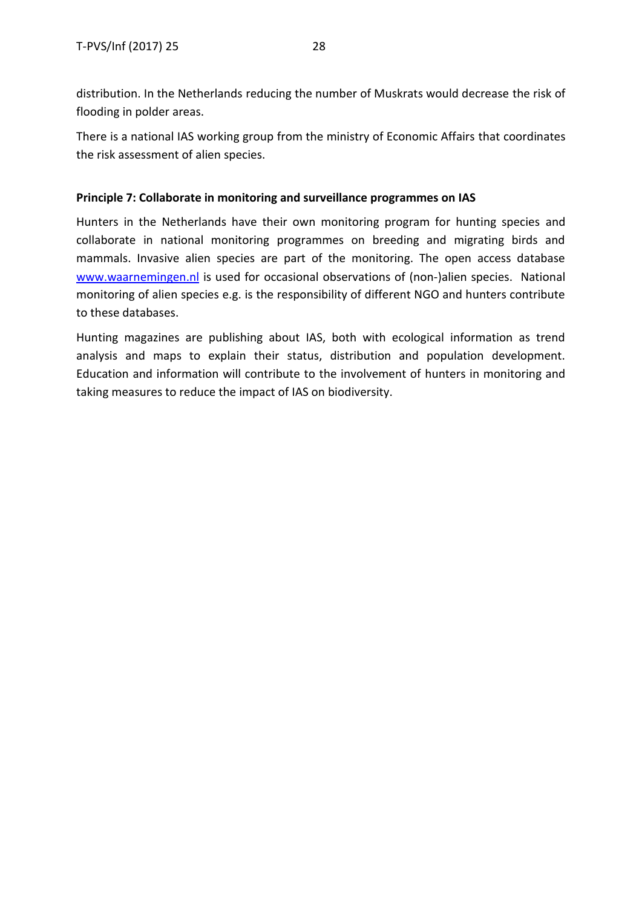distribution. In the Netherlands reducing the number of Muskrats would decrease the risk of flooding in polder areas.

There is a national IAS working group from the ministry of Economic Affairs that coordinates the risk assessment of alien species.

#### **Principle 7: Collaborate in monitoring and surveillance programmes on IAS**

Hunters in the Netherlands have their own monitoring program for hunting species and collaborate in national monitoring programmes on breeding and migrating birds and mammals. Invasive alien species are part of the monitoring. The open access database [www.waarnemingen.nl](http://www.waarnemingen.nl/) is used for occasional observations of (non-)alien species. National monitoring of alien species e.g. is the responsibility of different NGO and hunters contribute to these databases.

Hunting magazines are publishing about IAS, both with ecological information as trend analysis and maps to explain their status, distribution and population development. Education and information will contribute to the involvement of hunters in monitoring and taking measures to reduce the impact of IAS on biodiversity.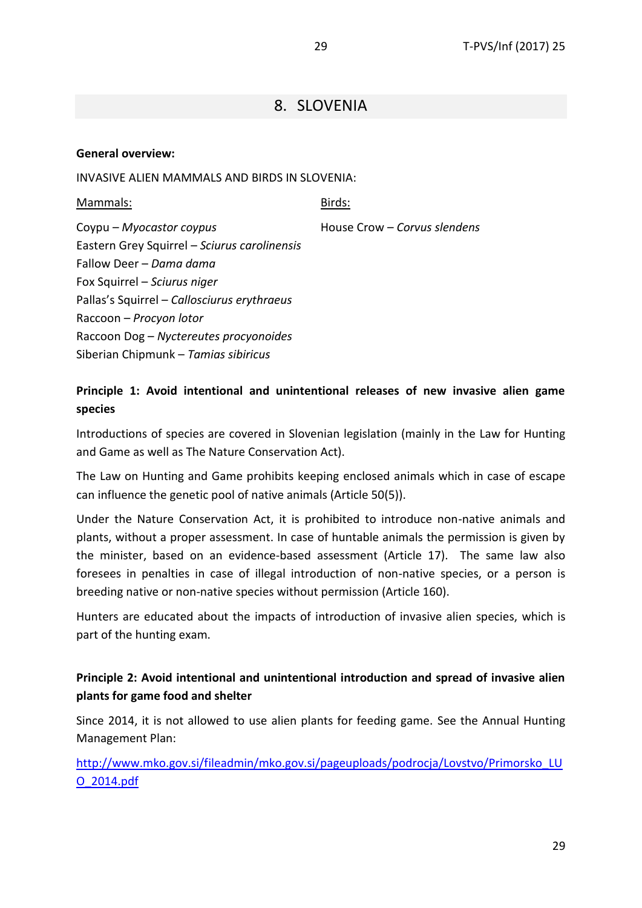### 8. SLOVENIA

#### <span id="page-28-0"></span>**General overview:**

INVASIVE ALIEN MAMMALS AND BIRDS IN SLOVENIA:

Mammals: Coypu – *Myocastor coypus* Eastern Grey Squirrel – *Sciurus carolinensis* Fallow Deer – *Dama dama* Fox Squirrel – *Sciurus niger* Pallas's Squirrel – *Callosciurus erythraeus* Raccoon – *Procyon lotor* Raccoon Dog – *Nyctereutes procyonoides* Siberian Chipmunk – *Tamias sibiricus* Birds: House Crow – *Corvus slendens*

#### **Principle 1: Avoid intentional and unintentional releases of new invasive alien game species**

Introductions of species are covered in Slovenian legislation (mainly in the Law for Hunting and Game as well as The Nature Conservation Act).

The Law on Hunting and Game prohibits keeping enclosed animals which in case of escape can influence the genetic pool of native animals (Article 50(5)).

Under the Nature Conservation Act, it is prohibited to introduce non-native animals and plants, without a proper assessment. In case of huntable animals the permission is given by the minister, based on an evidence-based assessment (Article 17). The same law also foresees in penalties in case of illegal introduction of non-native species, or a person is breeding native or non-native species without permission (Article 160).

Hunters are educated about the impacts of introduction of invasive alien species, which is part of the hunting exam.

### **Principle 2: Avoid intentional and unintentional introduction and spread of invasive alien plants for game food and shelter**

Since 2014, it is not allowed to use alien plants for feeding game. See the Annual Hunting Management Plan:

[http://www.mko.gov.si/fileadmin/mko.gov.si/pageuploads/podrocja/Lovstvo/Primorsko\\_LU](http://www.mko.gov.si/fileadmin/mko.gov.si/pageuploads/podrocja/Lovstvo/Primorsko_LUO_2014.pdf) [O\\_2014.pdf](http://www.mko.gov.si/fileadmin/mko.gov.si/pageuploads/podrocja/Lovstvo/Primorsko_LUO_2014.pdf)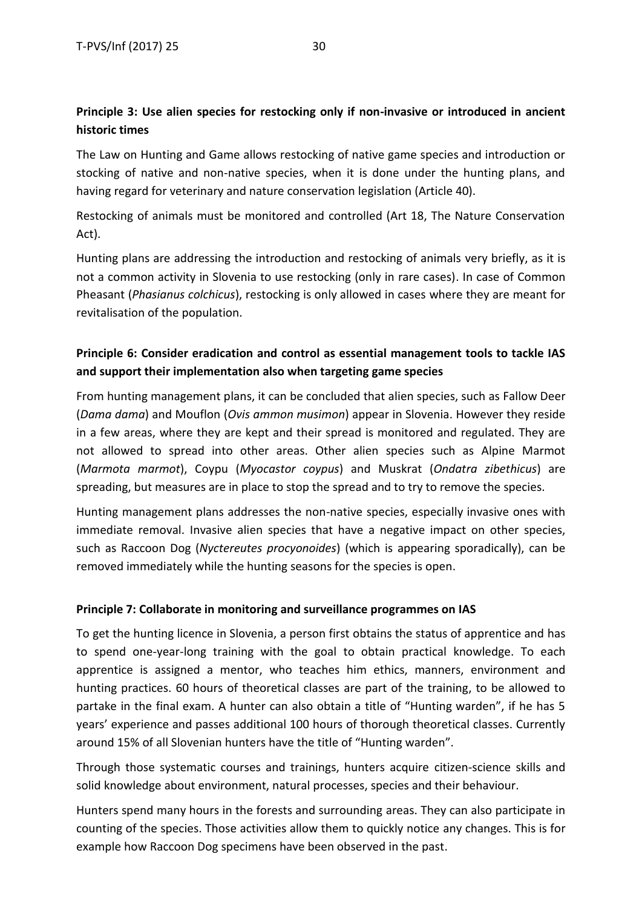### **Principle 3: Use alien species for restocking only if non-invasive or introduced in ancient historic times**

The Law on Hunting and Game allows restocking of native game species and introduction or stocking of native and non-native species, when it is done under the hunting plans, and having regard for veterinary and nature conservation legislation (Article 40).

Restocking of animals must be monitored and controlled (Art 18, The Nature Conservation Act).

Hunting plans are addressing the introduction and restocking of animals very briefly, as it is not a common activity in Slovenia to use restocking (only in rare cases). In case of Common Pheasant (*Phasianus colchicus*), restocking is only allowed in cases where they are meant for revitalisation of the population.

### **Principle 6: Consider eradication and control as essential management tools to tackle IAS and support their implementation also when targeting game species**

From hunting management plans, it can be concluded that alien species, such as Fallow Deer (*Dama dama*) and Mouflon (*Ovis ammon musimon*) appear in Slovenia. However they reside in a few areas, where they are kept and their spread is monitored and regulated. They are not allowed to spread into other areas. Other alien species such as Alpine Marmot (*Marmota marmot*), Coypu (*Myocastor coypus*) and Muskrat (*Ondatra zibethicus*) are spreading, but measures are in place to stop the spread and to try to remove the species.

Hunting management plans addresses the non-native species, especially invasive ones with immediate removal. Invasive alien species that have a negative impact on other species, such as Raccoon Dog (*Nyctereutes procyonoides*) (which is appearing sporadically), can be removed immediately while the hunting seasons for the species is open.

#### **Principle 7: Collaborate in monitoring and surveillance programmes on IAS**

To get the hunting licence in Slovenia, a person first obtains the status of apprentice and has to spend one-year-long training with the goal to obtain practical knowledge. To each apprentice is assigned a mentor, who teaches him ethics, manners, environment and hunting practices. 60 hours of theoretical classes are part of the training, to be allowed to partake in the final exam. A hunter can also obtain a title of "Hunting warden", if he has 5 years' experience and passes additional 100 hours of thorough theoretical classes. Currently around 15% of all Slovenian hunters have the title of "Hunting warden".

Through those systematic courses and trainings, hunters acquire citizen-science skills and solid knowledge about environment, natural processes, species and their behaviour.

Hunters spend many hours in the forests and surrounding areas. They can also participate in counting of the species. Those activities allow them to quickly notice any changes. This is for example how Raccoon Dog specimens have been observed in the past.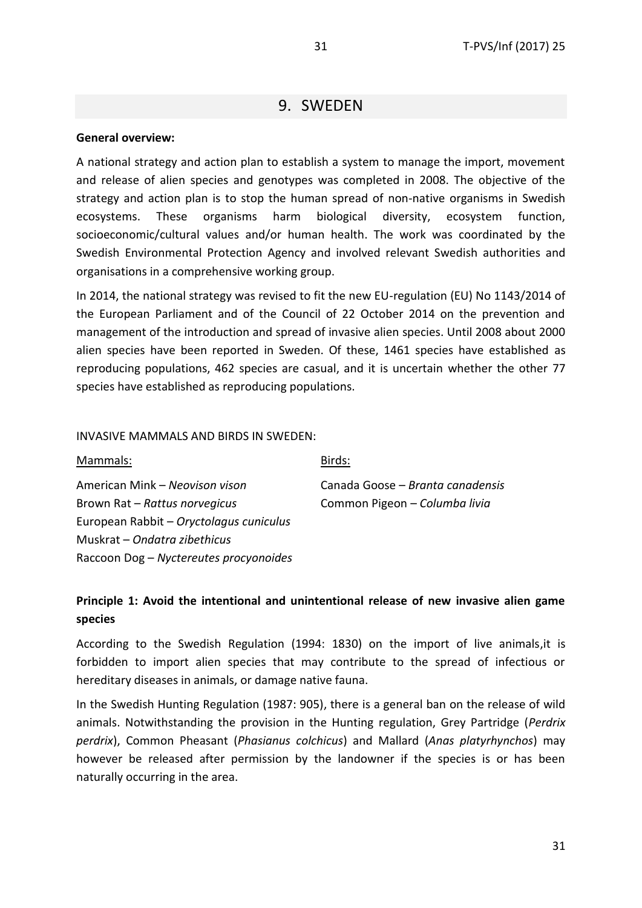### 9. SWEDEN

#### <span id="page-30-0"></span>**General overview:**

A national strategy and action plan to establish a system to manage the import, movement and release of alien species and genotypes was completed in 2008. The objective of the strategy and action plan is to stop the human spread of non-native organisms in Swedish ecosystems. These organisms harm biological diversity, ecosystem function, socioeconomic/cultural values and/or human health. The work was coordinated by the Swedish Environmental Protection Agency and involved relevant Swedish authorities and organisations in a comprehensive working group.

In 2014, the national strategy was revised to fit the new EU-regulation (EU) No 1143/2014 of the European Parliament and of the Council of 22 October 2014 on the prevention and management of the introduction and spread of invasive alien species. Until 2008 about 2000 alien species have been reported in Sweden. Of these, 1461 species have established as reproducing populations, 462 species are casual, and it is uncertain whether the other 77 species have established as reproducing populations.

#### INVASIVE MAMMALS AND BIRDS IN SWEDEN:

Birds:

American Mink – *Neovison vison* Brown Rat – *Rattus norvegicus* European Rabbit – *Oryctolagus cuniculus* Muskrat – *Ondatra zibethicus* Raccoon Dog – *Nyctereutes procyonoides* Canada Goose – *Branta canadensis* Common Pigeon – *Columba livia*

### **Principle 1: Avoid the intentional and unintentional release of new invasive alien game species**

According to the Swedish Regulation (1994: 1830) on the import of live animals,it is forbidden to import alien species that may contribute to the spread of infectious or hereditary diseases in animals, or damage native fauna.

In the Swedish Hunting Regulation (1987: 905), there is a general ban on the release of wild animals. Notwithstanding the provision in the Hunting regulation, Grey Partridge (*Perdrix perdrix*), Common Pheasant (*Phasianus colchicus*) and Mallard (*Anas platyrhynchos*) may however be released after permission by the landowner if the species is or has been naturally occurring in the area.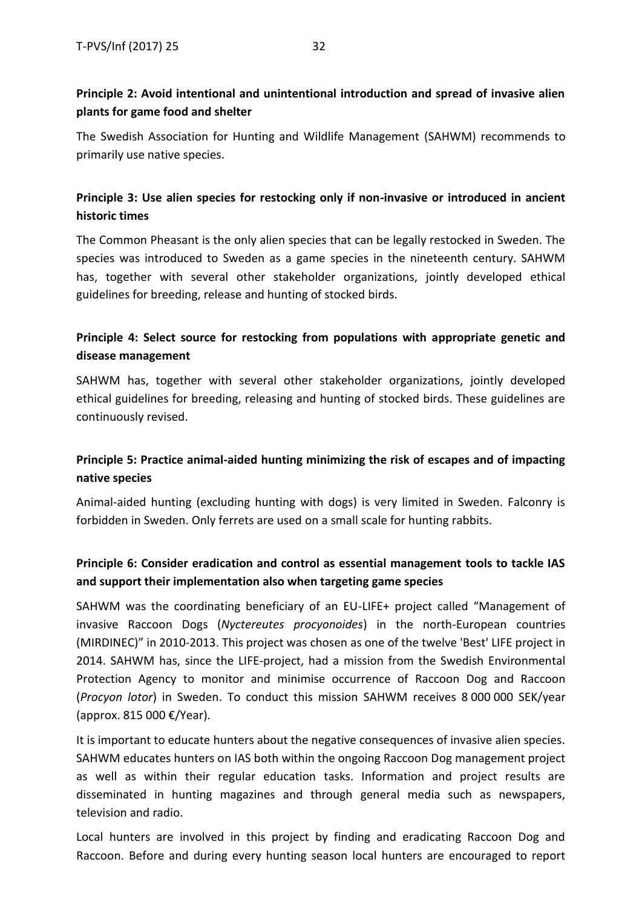### **Principle 2: Avoid intentional and unintentional introduction and spread of invasive alien plants for game food and shelter**

The Swedish Association for Hunting and Wildlife Management (SAHWM) recommends to primarily use native species.

### **Principle 3: Use alien species for restocking only if non-invasive or introduced in ancient historic times**

The Common Pheasant is the only alien species that can be legally restocked in Sweden. The species was introduced to Sweden as a game species in the nineteenth century. SAHWM has, together with several other stakeholder organizations, jointly developed ethical guidelines for breeding, release and hunting of stocked birds.

### **Principle 4: Select source for restocking from populations with appropriate genetic and disease management**

SAHWM has, together with several other stakeholder organizations, jointly developed ethical guidelines for breeding, releasing and hunting of stocked birds. These guidelines are continuously revised.

### **Principle 5: Practice animal-aided hunting minimizing the risk of escapes and of impacting native species**

Animal-aided hunting (excluding hunting with dogs) is very limited in Sweden. Falconry is forbidden in Sweden. Only ferrets are used on a small scale for hunting rabbits.

### **Principle 6: Consider eradication and control as essential management tools to tackle IAS and support their implementation also when targeting game species**

SAHWM was the coordinating beneficiary of an EU-LIFE+ project called "Management of invasive Raccoon Dogs (*Nyctereutes procyonoides*) in the north-European countries (MIRDINEC)" in 2010-2013. This project was chosen as one of the twelve 'Best' LIFE project in 2014. SAHWM has, since the LIFE-project, had a mission from the Swedish Environmental Protection Agency to monitor and minimise occurrence of Raccoon Dog and Raccoon (*Procyon lotor*) in Sweden. To conduct this mission SAHWM receives 8 000 000 SEK/year (approx. 815 000 €/Year).

It is important to educate hunters about the negative consequences of invasive alien species. SAHWM educates hunters on IAS both within the ongoing Raccoon Dog management project as well as within their regular education tasks. Information and project results are disseminated in hunting magazines and through general media such as newspapers, television and radio.

Local hunters are involved in this project by finding and eradicating Raccoon Dog and Raccoon. Before and during every hunting season local hunters are encouraged to report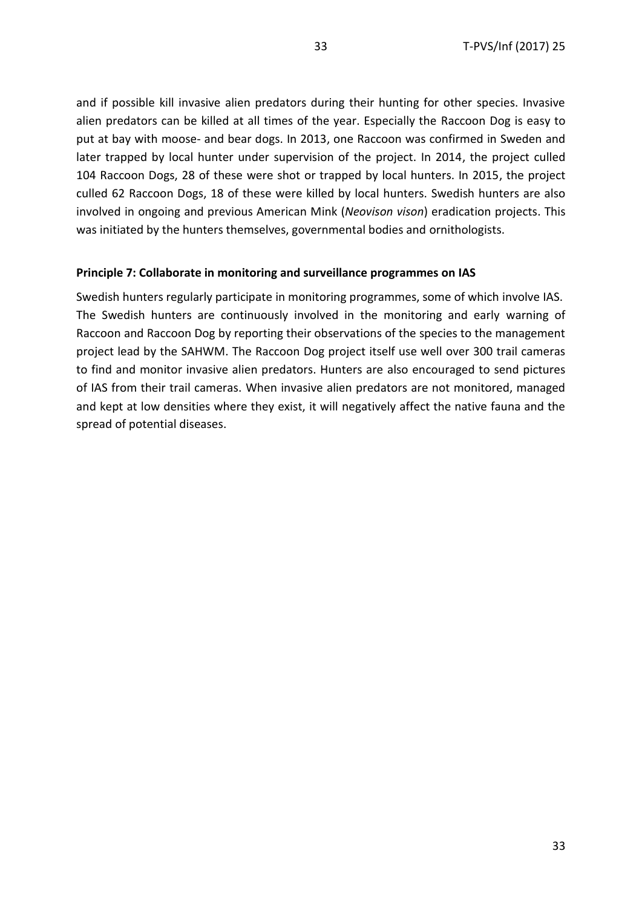and if possible kill invasive alien predators during their hunting for other species. Invasive alien predators can be killed at all times of the year. Especially the Raccoon Dog is easy to put at bay with moose- and bear dogs. In 2013, one Raccoon was confirmed in Sweden and later trapped by local hunter under supervision of the project. In 2014, the project culled 104 Raccoon Dogs, 28 of these were shot or trapped by local hunters. In 2015, the project culled 62 Raccoon Dogs, 18 of these were killed by local hunters. Swedish hunters are also involved in ongoing and previous American Mink (*Neovison vison*) eradication projects. This was initiated by the hunters themselves, governmental bodies and ornithologists.

#### **Principle 7: Collaborate in monitoring and surveillance programmes on IAS**

Swedish hunters regularly participate in monitoring programmes, some of which involve IAS. The Swedish hunters are continuously involved in the monitoring and early warning of Raccoon and Raccoon Dog by reporting their observations of the species to the management project lead by the SAHWM. The Raccoon Dog project itself use well over 300 trail cameras to find and monitor invasive alien predators. Hunters are also encouraged to send pictures of IAS from their trail cameras. When invasive alien predators are not monitored, managed and kept at low densities where they exist, it will negatively affect the native fauna and the spread of potential diseases.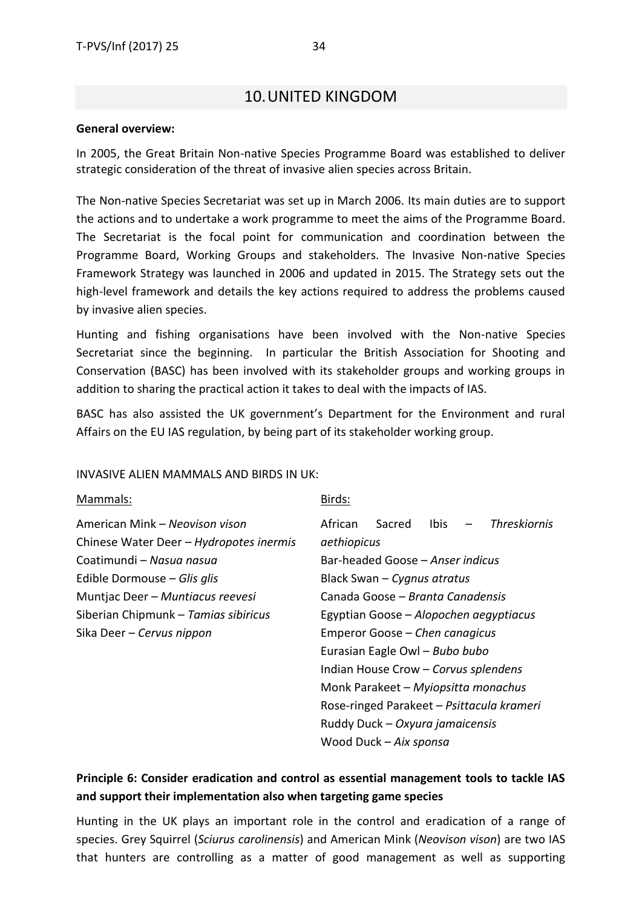### 10.UNITED KINGDOM

#### <span id="page-33-0"></span>**General overview:**

In 2005, the Great Britain Non-native Species Programme Board was established to deliver strategic consideration of the threat of invasive alien species across Britain.

The Non-native Species Secretariat was set up in March 2006. Its main duties are to support the actions and to undertake a work programme to meet the aims of the Programme Board. The Secretariat is the focal point for communication and coordination between the Programme Board, Working Groups and stakeholders. The Invasive Non-native Species Framework Strategy was launched in 2006 and updated in 2015. The Strategy sets out the high-level framework and details the key actions required to address the problems caused by invasive alien species.

Hunting and fishing organisations have been involved with the Non-native Species Secretariat since the beginning. In particular the British Association for Shooting and Conservation (BASC) has been involved with its stakeholder groups and working groups in addition to sharing the practical action it takes to deal with the impacts of IAS.

BASC has also assisted the UK government's Department for the Environment and rural Affairs on the EU IAS regulation, by being part of its stakeholder working group.

#### INVASIVE ALIEN MAMMALS AND BIRDS IN UK:

#### Mammals: American Mink – *Neovison vison* Chinese Water Deer – *Hydropotes inermis* Coatimundi – *Nasua nasua* Edible Dormouse – *Glis glis* Muntjac Deer – *Muntiacus reevesi* Siberian Chipmunk – *Tamias sibiricus* Sika Deer – *Cervus nippon* Birds: African Sacred Ibis – *Threskiornis aethiopicus* Bar-headed Goose – *Anser indicus* Black Swan – *Cygnus atratus* Canada Goose – *Branta Canadensis* Egyptian Goose – *Alopochen aegyptiacus* Emperor Goose – *Chen canagicus* Eurasian Eagle Owl – *Bubo bubo* Indian House Crow – *Corvus splendens* Monk Parakeet – *Myiopsitta monachus* Rose-ringed Parakeet – *Psittacula krameri*

#### **Principle 6: Consider eradication and control as essential management tools to tackle IAS and support their implementation also when targeting game species**

Ruddy Duck – *Oxyura jamaicensis*

Wood Duck – *Aix sponsa*

Hunting in the UK plays an important role in the control and eradication of a range of species. Grey Squirrel (*Sciurus carolinensis*) and American Mink (*Neovison vison*) are two IAS that hunters are controlling as a matter of good management as well as supporting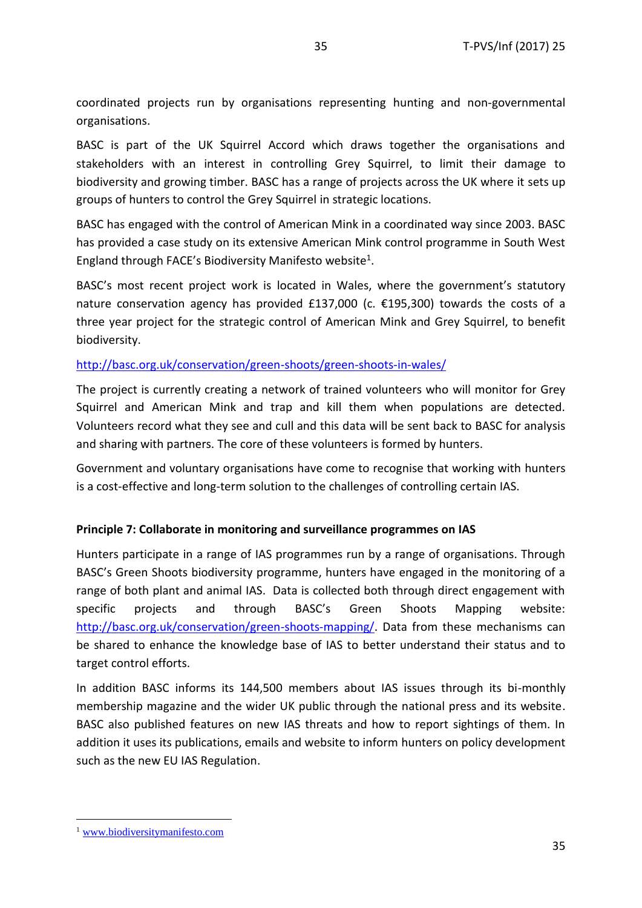coordinated projects run by organisations representing hunting and non-governmental organisations.

BASC is part of the UK Squirrel Accord which draws together the organisations and stakeholders with an interest in controlling Grey Squirrel, to limit their damage to biodiversity and growing timber. BASC has a range of projects across the UK where it sets up groups of hunters to control the Grey Squirrel in strategic locations.

BASC has engaged with the control of American Mink in a coordinated way since 2003. BASC has provided a case study on its extensive American Mink control programme in South West England through FACE's Biodiversity Manifesto website<sup>1</sup>.

BASC's most recent project work is located in Wales, where the government's statutory nature conservation agency has provided £137,000 (c. €195,300) towards the costs of a three year project for the strategic control of American Mink and Grey Squirrel, to benefit biodiversity.

#### <http://basc.org.uk/conservation/green-shoots/green-shoots-in-wales/>

The project is currently creating a network of trained volunteers who will monitor for Grey Squirrel and American Mink and trap and kill them when populations are detected. Volunteers record what they see and cull and this data will be sent back to BASC for analysis and sharing with partners. The core of these volunteers is formed by hunters.

Government and voluntary organisations have come to recognise that working with hunters is a cost-effective and long-term solution to the challenges of controlling certain IAS.

#### **Principle 7: Collaborate in monitoring and surveillance programmes on IAS**

Hunters participate in a range of IAS programmes run by a range of organisations. Through BASC's Green Shoots biodiversity programme, hunters have engaged in the monitoring of a range of both plant and animal IAS. Data is collected both through direct engagement with specific projects and through BASC's Green Shoots Mapping website: [http://basc.org.uk/conservation/green-shoots-mapping/.](http://basc.org.uk/conservation/green-shoots-mapping/) Data from these mechanisms can be shared to enhance the knowledge base of IAS to better understand their status and to target control efforts.

In addition BASC informs its 144,500 members about IAS issues through its bi-monthly membership magazine and the wider UK public through the national press and its website. BASC also published features on new IAS threats and how to report sightings of them. In addition it uses its publications, emails and website to inform hunters on policy development such as the new EU IAS Regulation.

**.** 

<sup>1</sup> [www.biodiversitymanifesto.com](http://www.biodiversitymanifesto.com/)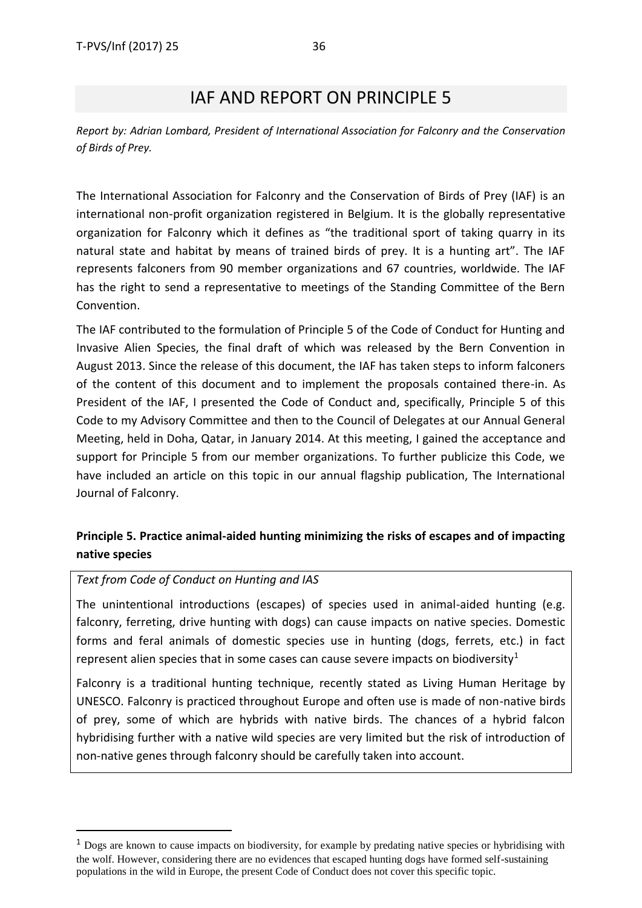## IAF AND REPORT ON PRINCIPLE 5

<span id="page-35-0"></span>*Report by: Adrian Lombard, President of International Association for Falconry and the Conservation of Birds of Prey.*

The International Association for Falconry and the Conservation of Birds of Prey (IAF) is an international non-profit organization registered in Belgium. It is the globally representative organization for Falconry which it defines as "the traditional sport of taking quarry in its natural state and habitat by means of trained birds of prey. It is a hunting art". The IAF represents falconers from 90 member organizations and 67 countries, worldwide. The IAF has the right to send a representative to meetings of the Standing Committee of the Bern Convention.

The IAF contributed to the formulation of Principle 5 of the Code of Conduct for Hunting and Invasive Alien Species, the final draft of which was released by the Bern Convention in August 2013. Since the release of this document, the IAF has taken steps to inform falconers of the content of this document and to implement the proposals contained there-in. As President of the IAF, I presented the Code of Conduct and, specifically, Principle 5 of this Code to my Advisory Committee and then to the Council of Delegates at our Annual General Meeting, held in Doha, Qatar, in January 2014. At this meeting, I gained the acceptance and support for Principle 5 from our member organizations. To further publicize this Code, we have included an article on this topic in our annual flagship publication, The International Journal of Falconry.

### **Principle 5. Practice animal-aided hunting minimizing the risks of escapes and of impacting native species**

#### *Text from Code of Conduct on Hunting and IAS*

**.** 

The unintentional introductions (escapes) of species used in animal-aided hunting (e.g. falconry, ferreting, drive hunting with dogs) can cause impacts on native species. Domestic forms and feral animals of domestic species use in hunting (dogs, ferrets, etc.) in fact represent alien species that in some cases can cause severe impacts on biodiversity<sup>1</sup>

Falconry is a traditional hunting technique, recently stated as Living Human Heritage by UNESCO. Falconry is practiced throughout Europe and often use is made of non-native birds of prey, some of which are hybrids with native birds. The chances of a hybrid falcon hybridising further with a native wild species are very limited but the risk of introduction of non-native genes through falconry should be carefully taken into account.

<sup>&</sup>lt;sup>1</sup> Dogs are known to cause impacts on biodiversity, for example by predating native species or hybridising with the wolf. However, considering there are no evidences that escaped hunting dogs have formed self-sustaining populations in the wild in Europe, the present Code of Conduct does not cover this specific topic.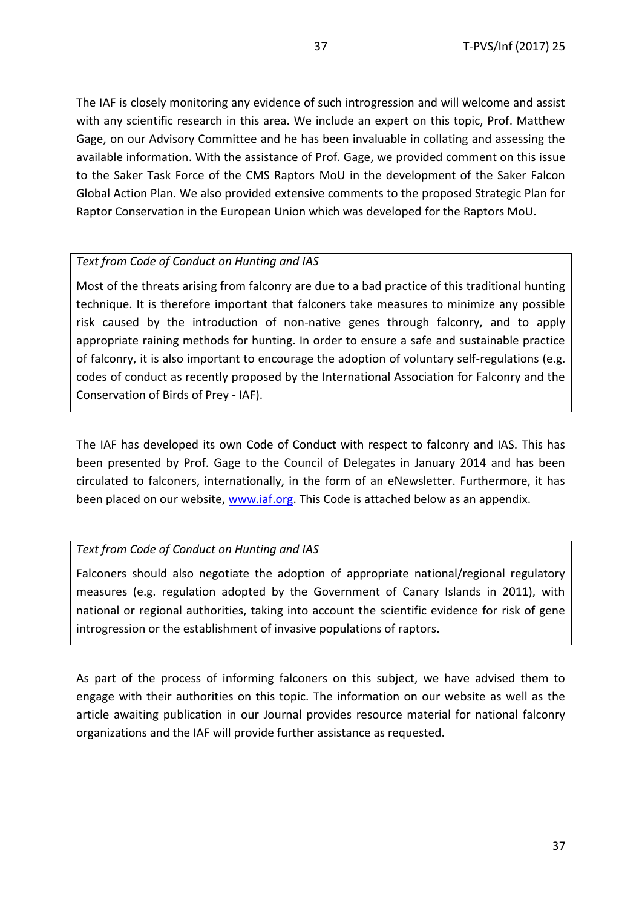The IAF is closely monitoring any evidence of such introgression and will welcome and assist with any scientific research in this area. We include an expert on this topic, Prof. Matthew Gage, on our Advisory Committee and he has been invaluable in collating and assessing the available information. With the assistance of Prof. Gage, we provided comment on this issue to the Saker Task Force of the CMS Raptors MoU in the development of the Saker Falcon Global Action Plan. We also provided extensive comments to the proposed Strategic Plan for Raptor Conservation in the European Union which was developed for the Raptors MoU.

#### *Text from Code of Conduct on Hunting and IAS*

Most of the threats arising from falconry are due to a bad practice of this traditional hunting technique. It is therefore important that falconers take measures to minimize any possible risk caused by the introduction of non-native genes through falconry, and to apply appropriate raining methods for hunting. In order to ensure a safe and sustainable practice of falconry, it is also important to encourage the adoption of voluntary self-regulations (e.g. codes of conduct as recently proposed by the International Association for Falconry and the Conservation of Birds of Prey - IAF).

The IAF has developed its own Code of Conduct with respect to falconry and IAS. This has been presented by Prof. Gage to the Council of Delegates in January 2014 and has been circulated to falconers, internationally, in the form of an eNewsletter. Furthermore, it has been placed on our website, [www.iaf.org.](http://www.iaf.org/) This Code is attached below as an appendix.

#### *Text from Code of Conduct on Hunting and IAS*

Falconers should also negotiate the adoption of appropriate national/regional regulatory measures (e.g. regulation adopted by the Government of Canary Islands in 2011), with national or regional authorities, taking into account the scientific evidence for risk of gene introgression or the establishment of invasive populations of raptors.

As part of the process of informing falconers on this subject, we have advised them to engage with their authorities on this topic. The information on our website as well as the article awaiting publication in our Journal provides resource material for national falconry organizations and the IAF will provide further assistance as requested.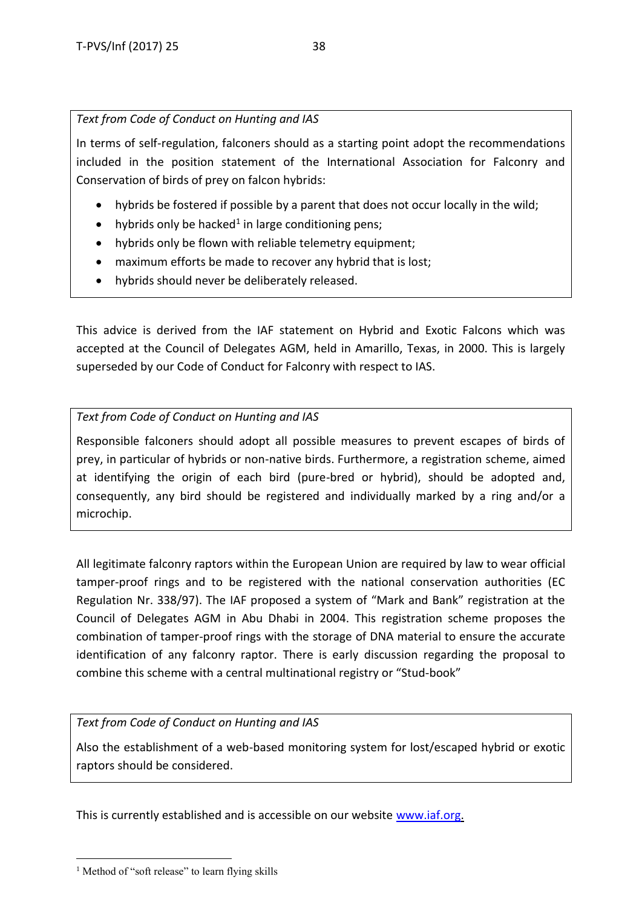### *Text from Code of Conduct on Hunting and IAS*

In terms of self-regulation, falconers should as a starting point adopt the recommendations included in the position statement of the International Association for Falconry and Conservation of birds of prey on falcon hybrids:

- hybrids be fostered if possible by a parent that does not occur locally in the wild;
- hybrids only be hacked<sup>1</sup> in large conditioning pens;
- hybrids only be flown with reliable telemetry equipment;
- maximum efforts be made to recover any hybrid that is lost;
- hybrids should never be deliberately released.

This advice is derived from the IAF statement on Hybrid and Exotic Falcons which was accepted at the Council of Delegates AGM, held in Amarillo, Texas, in 2000. This is largely superseded by our Code of Conduct for Falconry with respect to IAS.

### *Text from Code of Conduct on Hunting and IAS*

Responsible falconers should adopt all possible measures to prevent escapes of birds of prey, in particular of hybrids or non-native birds. Furthermore, a registration scheme, aimed at identifying the origin of each bird (pure-bred or hybrid), should be adopted and, consequently, any bird should be registered and individually marked by a ring and/or a microchip.

All legitimate falconry raptors within the European Union are required by law to wear official tamper-proof rings and to be registered with the national conservation authorities (EC Regulation Nr. 338/97). The IAF proposed a system of "Mark and Bank" registration at the Council of Delegates AGM in Abu Dhabi in 2004. This registration scheme proposes the combination of tamper-proof rings with the storage of DNA material to ensure the accurate identification of any falconry raptor. There is early discussion regarding the proposal to combine this scheme with a central multinational registry or "Stud-book"

#### *Text from Code of Conduct on Hunting and IAS*

Also the establishment of a web-based monitoring system for lost/escaped hybrid or exotic raptors should be considered.

This is currently established and is accessible on our website [www.iaf.org.](http://www.iaf.org/)

**<sup>.</sup>**  $<sup>1</sup>$  Method of "soft release" to learn flying skills</sup>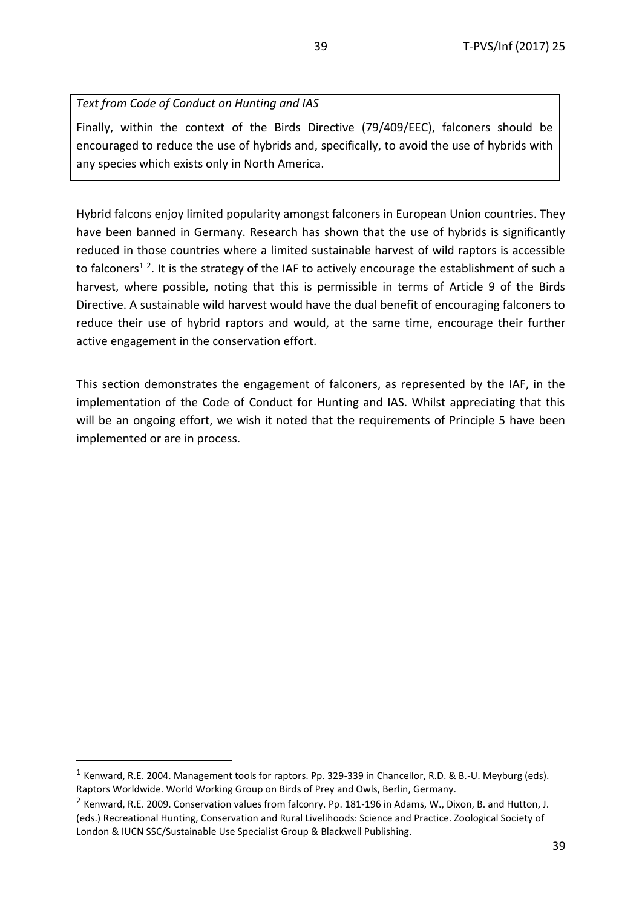### *Text from Code of Conduct on Hunting and IAS*

Finally, within the context of the Birds Directive (79/409/EEC), falconers should be encouraged to reduce the use of hybrids and, specifically, to avoid the use of hybrids with any species which exists only in North America.

Hybrid falcons enjoy limited popularity amongst falconers in European Union countries. They have been banned in Germany. Research has shown that the use of hybrids is significantly reduced in those countries where a limited sustainable harvest of wild raptors is accessible to falconers<sup>12</sup>. It is the strategy of the IAF to actively encourage the establishment of such a harvest, where possible, noting that this is permissible in terms of Article 9 of the Birds Directive. A sustainable wild harvest would have the dual benefit of encouraging falconers to reduce their use of hybrid raptors and would, at the same time, encourage their further active engagement in the conservation effort.

This section demonstrates the engagement of falconers, as represented by the IAF, in the implementation of the Code of Conduct for Hunting and IAS. Whilst appreciating that this will be an ongoing effort, we wish it noted that the requirements of Principle 5 have been implemented or are in process.

**.** 

<sup>&</sup>lt;sup>1</sup> Kenward, R.E. 2004. Management tools for raptors. Pp. 329-339 in Chancellor, R.D. & B.-U. Meyburg (eds). Raptors Worldwide. World Working Group on Birds of Prey and Owls, Berlin, Germany.

<sup>&</sup>lt;sup>2</sup> Kenward, R.E. 2009. Conservation values from falconry. Pp. 181-196 in Adams, W., Dixon, B. and Hutton, J. (eds.) Recreational Hunting, Conservation and Rural Livelihoods: Science and Practice. Zoological Society of London & IUCN SSC/Sustainable Use Specialist Group & Blackwell Publishing.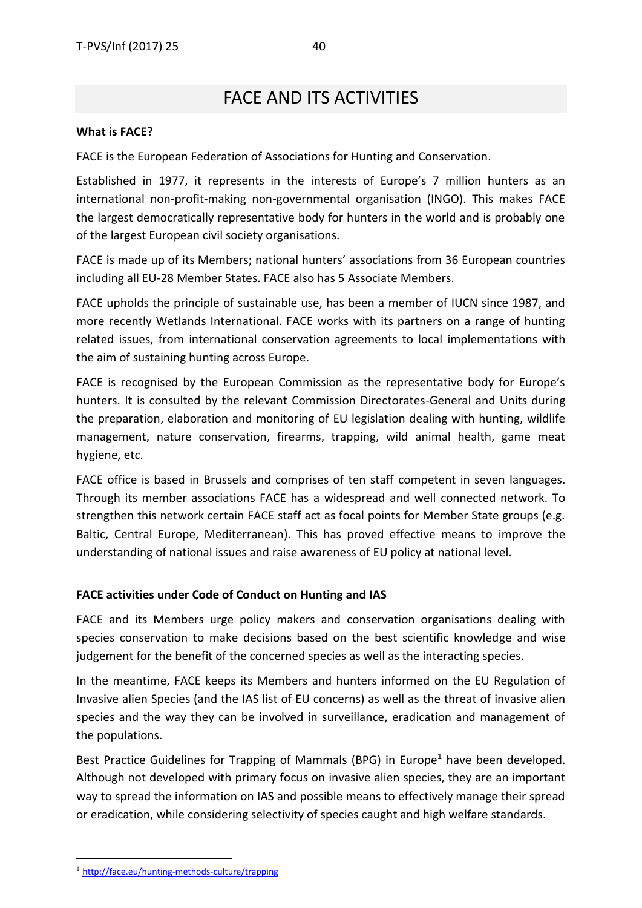# FACE AND ITS ACTIVITIES

#### <span id="page-39-0"></span>**What is FACE?**

FACE is the European Federation of Associations for Hunting and Conservation.

Established in 1977, it represents in the interests of Europe's 7 million hunters as an international non-profit-making non-governmental organisation (INGO). This makes FACE the largest democratically representative body for hunters in the world and is probably one of the largest European civil society organisations.

FACE is made up of its Members; national hunters' associations from 36 European countries including all EU-28 Member States. FACE also has 5 Associate Members.

FACE upholds the principle of sustainable use, has been a member of IUCN since 1987, and more recently Wetlands International. FACE works with its partners on a range of hunting related issues, from international conservation agreements to local implementations with the aim of sustaining hunting across Europe.

FACE is recognised by the European Commission as the representative body for Europe's hunters. It is consulted by the relevant Commission Directorates-General and Units during the preparation, elaboration and monitoring of EU legislation dealing with hunting, wildlife management, nature conservation, firearms, trapping, wild animal health, game meat hygiene, etc.

FACE office is based in Brussels and comprises of ten staff competent in seven languages. Through its member associations FACE has a widespread and well connected network. To strengthen this network certain FACE staff act as focal points for Member State groups (e.g. Baltic, Central Europe, Mediterranean). This has proved effective means to improve the understanding of national issues and raise awareness of EU policy at national level.

#### **FACE activities under Code of Conduct on Hunting and IAS**

FACE and its Members urge policy makers and conservation organisations dealing with species conservation to make decisions based on the best scientific knowledge and wise judgement for the benefit of the concerned species as well as the interacting species.

In the meantime, FACE keeps its Members and hunters informed on the EU Regulation of Invasive alien Species (and the IAS list of EU concerns) as well as the threat of invasive alien species and the way they can be involved in surveillance, eradication and management of the populations.

Best Practice Guidelines for Trapping of Mammals (BPG) in Europe<sup>1</sup> have been developed. Although not developed with primary focus on invasive alien species, they are an important way to spread the information on IAS and possible means to effectively manage their spread or eradication, while considering selectivity of species caught and high welfare standards.

**.**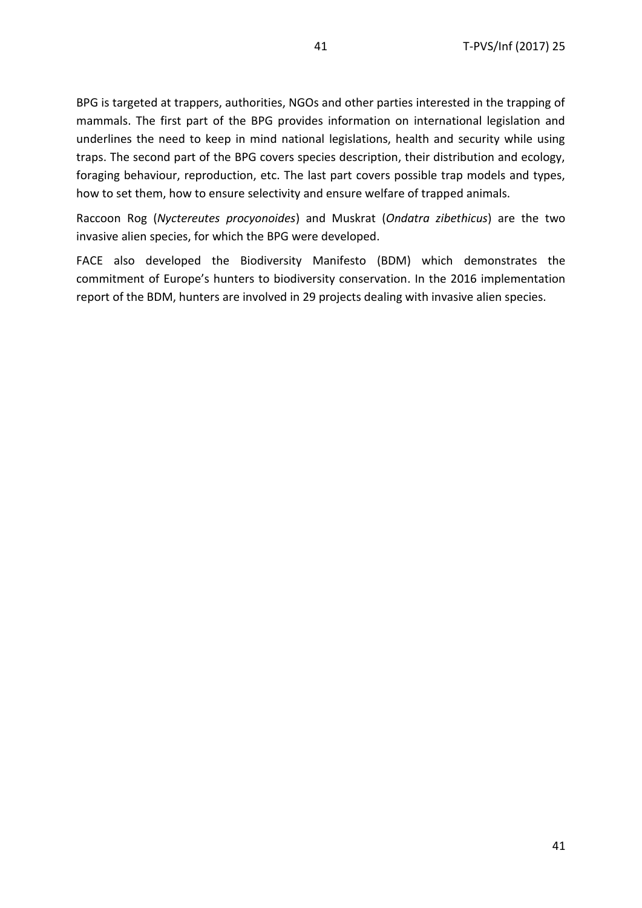BPG is targeted at trappers, authorities, NGOs and other parties interested in the trapping of mammals. The first part of the BPG provides information on international legislation and underlines the need to keep in mind national legislations, health and security while using traps. The second part of the BPG covers species description, their distribution and ecology, foraging behaviour, reproduction, etc. The last part covers possible trap models and types, how to set them, how to ensure selectivity and ensure welfare of trapped animals.

Raccoon Rog (*Nyctereutes procyonoides*) and Muskrat (*Ondatra zibethicus*) are the two invasive alien species, for which the BPG were developed.

FACE also developed the Biodiversity Manifesto (BDM) which demonstrates the commitment of Europe's hunters to biodiversity conservation. In the 2016 implementation report of the BDM, hunters are involved in 29 projects dealing with invasive alien species.